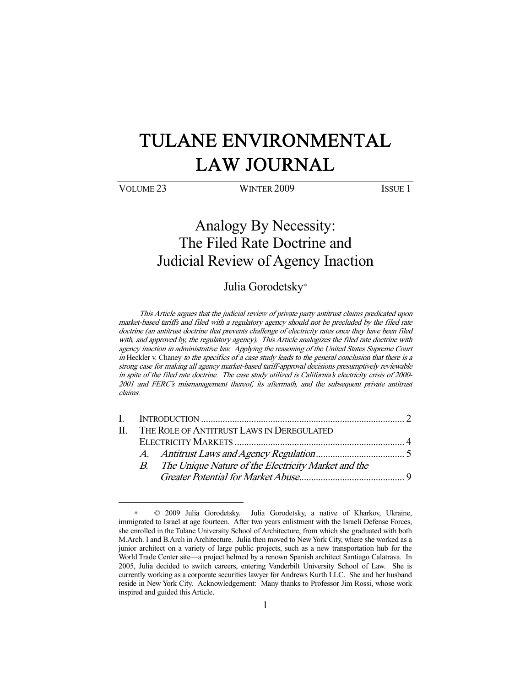# TULANE ENVIRONMENTAL LAW JOURNAL

-

VOLUME 23 WINTER 2009 ISSUE 1

## Analogy By Necessity: The Filed Rate Doctrine and Judicial Review of Agency Inaction

### Julia Gorodetsky<sup>∗</sup>

This Article argues that the judicial review of private party antitrust claims predicated upon market-based tariffs and filed with a regulatory agency should not be precluded by the filed rate doctrine (an antitrust doctrine that prevents challenge of electricity rates once they have been filed with, and approved by, the regulatory agency). This Article analogizes the filed rate doctrine with agency inaction in administrative law. Applying the reasoning of the United States Supreme Court in Heckler v. Chaney to the specifics of a case study leads to the general conclusion that there is a strong case for making all agency market-based tariff-approval decisions presumptively reviewable in spite of the filed rate doctrine. The case study utilized is California's electricity crisis of 2000- 2001 and FERC's mismanagement thereof, its aftermath, and the subsequent private antitrust claims.

|  | II. THE ROLE OF ANTITRUST LAWS IN DEREGULATED |                                                        |  |
|--|-----------------------------------------------|--------------------------------------------------------|--|
|  |                                               |                                                        |  |
|  |                                               |                                                        |  |
|  |                                               | B. The Unique Nature of the Electricity Market and the |  |
|  |                                               |                                                        |  |
|  |                                               |                                                        |  |

<sup>∗</sup> © 2009 Julia Gorodetsky. Julia Gorodetsky, a native of Kharkov, Ukraine, immigrated to Israel at age fourteen. After two years enlistment with the Israeli Defense Forces, she enrolled in the Tulane University School of Architecture, from which she graduated with both M.Arch. I and B.Arch in Architecture. Julia then moved to New York City, where she worked as a junior architect on a variety of large public projects, such as a new transportation hub for the World Trade Center site—a project helmed by a renown Spanish architect Santiago Calatrava. In 2005, Julia decided to switch careers, entering Vanderbilt University School of Law. She is currently working as a corporate securities lawyer for Andrews Kurth LLC. She and her husband reside in New York City. Acknowledgement: Many thanks to Professor Jim Rossi, whose work inspired and guided this Article.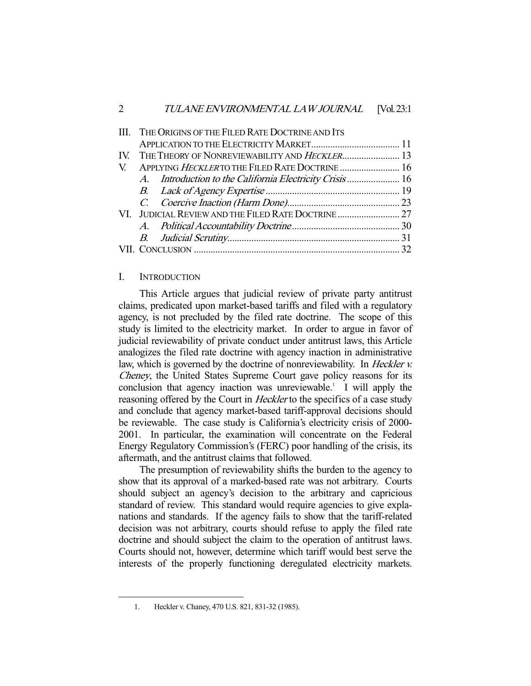| III. THE ORIGINS OF THE FILED RATE DOCTRINE AND ITS |  |                                                                                                              |
|-----------------------------------------------------|--|--------------------------------------------------------------------------------------------------------------|
|                                                     |  |                                                                                                              |
|                                                     |  |                                                                                                              |
| V. APPLYING HECKLERTO THE FILED RATE DOCTRINE  16   |  |                                                                                                              |
|                                                     |  |                                                                                                              |
|                                                     |  |                                                                                                              |
|                                                     |  |                                                                                                              |
|                                                     |  |                                                                                                              |
|                                                     |  |                                                                                                              |
|                                                     |  |                                                                                                              |
|                                                     |  |                                                                                                              |
|                                                     |  | IV. THE THEORY OF NONREVIEWABILITY AND HECKLER 13<br>A. Introduction to the California Electricity Crisis 16 |

#### I. INTRODUCTION

 This Article argues that judicial review of private party antitrust claims, predicated upon market-based tariffs and filed with a regulatory agency, is not precluded by the filed rate doctrine. The scope of this study is limited to the electricity market. In order to argue in favor of judicial reviewability of private conduct under antitrust laws, this Article analogizes the filed rate doctrine with agency inaction in administrative law, which is governed by the doctrine of nonreviewability. In *Heckler v.* Cheney, the United States Supreme Court gave policy reasons for its conclusion that agency inaction was unreviewable.<sup>1</sup> I will apply the reasoning offered by the Court in *Heckler* to the specifics of a case study and conclude that agency market-based tariff-approval decisions should be reviewable. The case study is California's electricity crisis of 2000- 2001. In particular, the examination will concentrate on the Federal Energy Regulatory Commission's (FERC) poor handling of the crisis, its aftermath, and the antitrust claims that followed.

 The presumption of reviewability shifts the burden to the agency to show that its approval of a marked-based rate was not arbitrary. Courts should subject an agency's decision to the arbitrary and capricious standard of review. This standard would require agencies to give explanations and standards. If the agency fails to show that the tariff-related decision was not arbitrary, courts should refuse to apply the filed rate doctrine and should subject the claim to the operation of antitrust laws. Courts should not, however, determine which tariff would best serve the interests of the properly functioning deregulated electricity markets.

 <sup>1.</sup> Heckler v. Chaney, 470 U.S. 821, 831-32 (1985).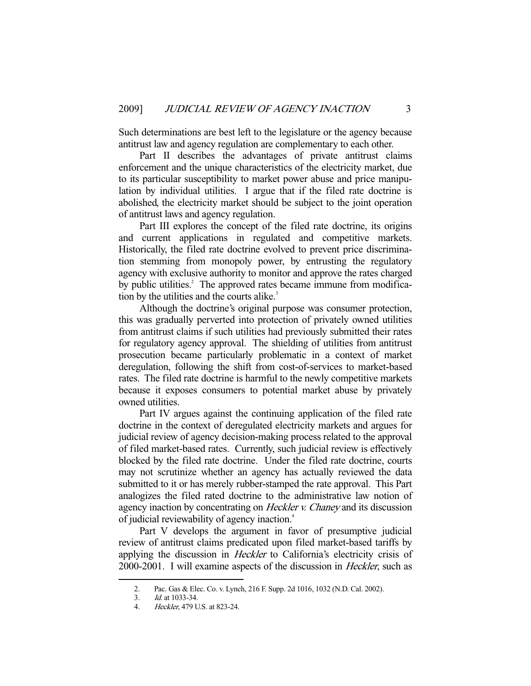Such determinations are best left to the legislature or the agency because antitrust law and agency regulation are complementary to each other.

 Part II describes the advantages of private antitrust claims enforcement and the unique characteristics of the electricity market, due to its particular susceptibility to market power abuse and price manipulation by individual utilities. I argue that if the filed rate doctrine is abolished, the electricity market should be subject to the joint operation of antitrust laws and agency regulation.

 Part III explores the concept of the filed rate doctrine, its origins and current applications in regulated and competitive markets. Historically, the filed rate doctrine evolved to prevent price discrimination stemming from monopoly power, by entrusting the regulatory agency with exclusive authority to monitor and approve the rates charged by public utilities.<sup>2</sup> The approved rates became immune from modification by the utilities and the courts alike.<sup>3</sup>

 Although the doctrine's original purpose was consumer protection, this was gradually perverted into protection of privately owned utilities from antitrust claims if such utilities had previously submitted their rates for regulatory agency approval. The shielding of utilities from antitrust prosecution became particularly problematic in a context of market deregulation, following the shift from cost-of-services to market-based rates. The filed rate doctrine is harmful to the newly competitive markets because it exposes consumers to potential market abuse by privately owned utilities.

 Part IV argues against the continuing application of the filed rate doctrine in the context of deregulated electricity markets and argues for judicial review of agency decision-making process related to the approval of filed market-based rates. Currently, such judicial review is effectively blocked by the filed rate doctrine. Under the filed rate doctrine, courts may not scrutinize whether an agency has actually reviewed the data submitted to it or has merely rubber-stamped the rate approval. This Part analogizes the filed rated doctrine to the administrative law notion of agency inaction by concentrating on Heckler v. Chaney and its discussion of judicial reviewability of agency inaction.4

 Part V develops the argument in favor of presumptive judicial review of antitrust claims predicated upon filed market-based tariffs by applying the discussion in Heckler to California's electricity crisis of 2000-2001. I will examine aspects of the discussion in Heckler, such as

<sup>2.</sup> Pac. Gas & Elec. Co. v. Lynch, 216 F. Supp. 2d 1016, 1032 (N.D. Cal. 2002).<br>3. Id. at 1033-34.

Id. at 1033-34.

 <sup>4.</sup> Heckler, 479 U.S. at 823-24.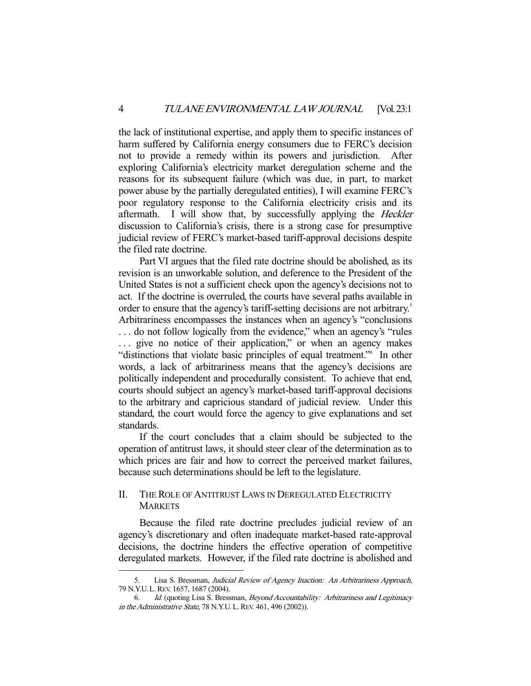the lack of institutional expertise, and apply them to specific instances of harm suffered by California energy consumers due to FERC's decision not to provide a remedy within its powers and jurisdiction. After exploring California's electricity market deregulation scheme and the reasons for its subsequent failure (which was due, in part, to market power abuse by the partially deregulated entities), I will examine FERC's poor regulatory response to the California electricity crisis and its aftermath. I will show that, by successfully applying the *Heckler* discussion to California's crisis, there is a strong case for presumptive judicial review of FERC's market-based tariff-approval decisions despite the filed rate doctrine.

 Part VI argues that the filed rate doctrine should be abolished, as its revision is an unworkable solution, and deference to the President of the United States is not a sufficient check upon the agency's decisions not to act. If the doctrine is overruled, the courts have several paths available in order to ensure that the agency's tariff-setting decisions are not arbitrary.<sup>5</sup> Arbitrariness encompasses the instances when an agency's "conclusions . . . do not follow logically from the evidence," when an agency's "rules ... give no notice of their application," or when an agency makes "distinctions that violate basic principles of equal treatment."<sup>6</sup> In other words, a lack of arbitrariness means that the agency's decisions are politically independent and procedurally consistent. To achieve that end, courts should subject an agency's market-based tariff-approval decisions to the arbitrary and capricious standard of judicial review. Under this standard, the court would force the agency to give explanations and set standards.

 If the court concludes that a claim should be subjected to the operation of antitrust laws, it should steer clear of the determination as to which prices are fair and how to correct the perceived market failures, because such determinations should be left to the legislature.

#### II. THE ROLE OF ANTITRUST LAWS IN DEREGULATED ELECTRICITY **MARKETS**

 Because the filed rate doctrine precludes judicial review of an agency's discretionary and often inadequate market-based rate-approval decisions, the doctrine hinders the effective operation of competitive deregulated markets. However, if the filed rate doctrine is abolished and

Lisa S. Bressman, Judicial Review of Agency Inaction: An Arbitrariness Approach, 79 N.Y.U. L.REV. 1657, 1687 (2004).

 <sup>6.</sup> Id. (quoting Lisa S. Bressman, Beyond Accountability: Arbitrariness and Legitimacy in the Administrative State, 78 N.Y.U. L. REV. 461, 496 (2002)).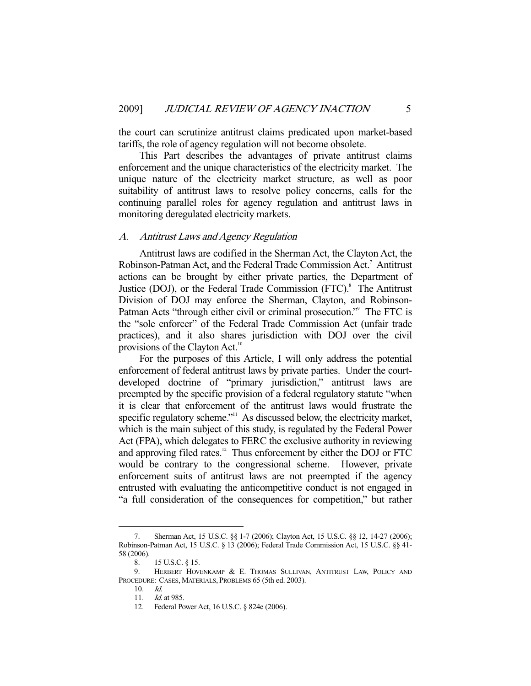the court can scrutinize antitrust claims predicated upon market-based tariffs, the role of agency regulation will not become obsolete.

 This Part describes the advantages of private antitrust claims enforcement and the unique characteristics of the electricity market. The unique nature of the electricity market structure, as well as poor suitability of antitrust laws to resolve policy concerns, calls for the continuing parallel roles for agency regulation and antitrust laws in monitoring deregulated electricity markets.

#### A. Antitrust Laws and Agency Regulation

 Antitrust laws are codified in the Sherman Act, the Clayton Act, the Robinson-Patman Act, and the Federal Trade Commission Act.<sup>7</sup> Antitrust actions can be brought by either private parties, the Department of Justice (DOJ), or the Federal Trade Commission (FTC).<sup>8</sup> The Antitrust Division of DOJ may enforce the Sherman, Clayton, and Robinson-Patman Acts "through either civil or criminal prosecution." The FTC is the "sole enforcer" of the Federal Trade Commission Act (unfair trade practices), and it also shares jurisdiction with DOJ over the civil provisions of the Clayton Act.<sup>10</sup>

 For the purposes of this Article, I will only address the potential enforcement of federal antitrust laws by private parties. Under the courtdeveloped doctrine of "primary jurisdiction," antitrust laws are preempted by the specific provision of a federal regulatory statute "when it is clear that enforcement of the antitrust laws would frustrate the specific regulatory scheme."<sup>11</sup> As discussed below, the electricity market, which is the main subject of this study, is regulated by the Federal Power Act (FPA), which delegates to FERC the exclusive authority in reviewing and approving filed rates.<sup>12</sup> Thus enforcement by either the DOJ or FTC would be contrary to the congressional scheme. However, private enforcement suits of antitrust laws are not preempted if the agency entrusted with evaluating the anticompetitive conduct is not engaged in "a full consideration of the consequences for competition," but rather

 <sup>7.</sup> Sherman Act, 15 U.S.C. §§ 1-7 (2006); Clayton Act, 15 U.S.C. §§ 12, 14-27 (2006); Robinson-Patman Act, 15 U.S.C. § 13 (2006); Federal Trade Commission Act, 15 U.S.C. §§ 41- 58 (2006).

 <sup>8. 15</sup> U.S.C. § 15.

 <sup>9.</sup> HERBERT HOVENKAMP & E. THOMAS SULLIVAN, ANTITRUST LAW, POLICY AND PROCEDURE: CASES, MATERIALS, PROBLEMS 65 (5th ed. 2003).

 <sup>10.</sup> Id.

 <sup>11.</sup> Id. at 985.

 <sup>12.</sup> Federal Power Act, 16 U.S.C. § 824e (2006).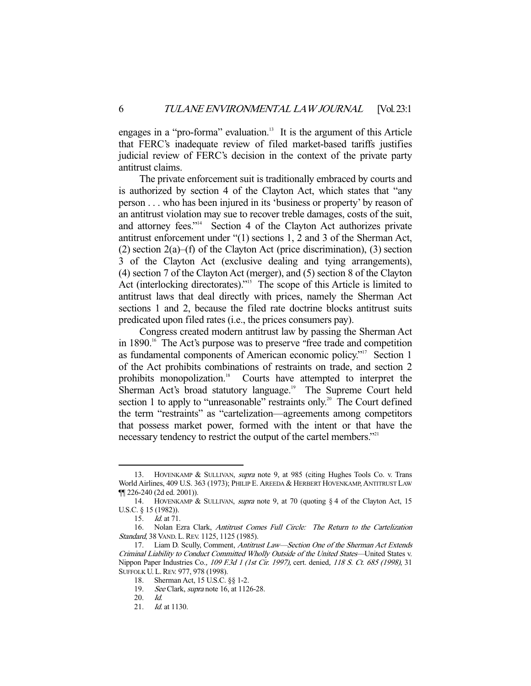engages in a "pro-forma" evaluation.<sup>13</sup> It is the argument of this Article that FERC's inadequate review of filed market-based tariffs justifies judicial review of FERC's decision in the context of the private party antitrust claims.

 The private enforcement suit is traditionally embraced by courts and is authorized by section 4 of the Clayton Act, which states that "any person . . . who has been injured in its 'business or property' by reason of an antitrust violation may sue to recover treble damages, costs of the suit, and attorney fees."<sup>14</sup> Section 4 of the Clayton Act authorizes private antitrust enforcement under "(1) sections 1, 2 and 3 of the Sherman Act,  $(2)$  section  $2(a)$ –(f) of the Clayton Act (price discrimination), (3) section 3 of the Clayton Act (exclusive dealing and tying arrangements), (4) section 7 of the Clayton Act (merger), and (5) section 8 of the Clayton Act (interlocking directorates)."<sup>15</sup> The scope of this Article is limited to antitrust laws that deal directly with prices, namely the Sherman Act sections 1 and 2, because the filed rate doctrine blocks antitrust suits predicated upon filed rates (i.e., the prices consumers pay).

 Congress created modern antitrust law by passing the Sherman Act in 1890.<sup>16</sup> The Act's purpose was to preserve "free trade and competition as fundamental components of American economic policy."<sup>17</sup> Section 1 of the Act prohibits combinations of restraints on trade, and section 2 prohibits monopolization.<sup>18</sup> Courts have attempted to interpret the Sherman Act's broad statutory language.<sup>19</sup> The Supreme Court held section 1 to apply to "unreasonable" restraints only.<sup>20</sup> The Court defined the term "restraints" as "cartelization—agreements among competitors that possess market power, formed with the intent or that have the necessary tendency to restrict the output of the cartel members."<sup>21</sup>

<sup>13.</sup> HOVENKAMP & SULLIVAN, *supra* note 9, at 985 (citing Hughes Tools Co. v. Trans World Airlines, 409 U.S. 363 (1973); PHILIP E. AREEDA & HERBERT HOVENKAMP, ANTITRUST LAW ¶¶ 226-240 (2d ed. 2001)).

 <sup>14.</sup> HOVENKAMP & SULLIVAN, supra note 9, at 70 (quoting § 4 of the Clayton Act, 15 U.S.C. § 15 (1982)).

 <sup>15.</sup> Id. at 71.

 <sup>16.</sup> Nolan Ezra Clark, Antitrust Comes Full Circle: The Return to the Cartelization Standard, 38 VAND. L. REV. 1125, 1125 (1985).

<sup>17.</sup> Liam D. Scully, Comment, Antitrust Law-Section One of the Sherman Act Extends Criminal Liability to Conduct Committed Wholly Outside of the United States—United States v. Nippon Paper Industries Co., 109 F.3d 1 (1st Cir. 1997), cert. denied, 118 S. Ct. 685 (1998), 31 SUFFOLK U.L. REV. 977, 978 (1998).

 <sup>18.</sup> Sherman Act, 15 U.S.C. §§ 1-2.

<sup>19.</sup> See Clark, *supra* note 16, at 1126-28.

 <sup>20.</sup> Id.

<sup>21.</sup> *Id.* at 1130.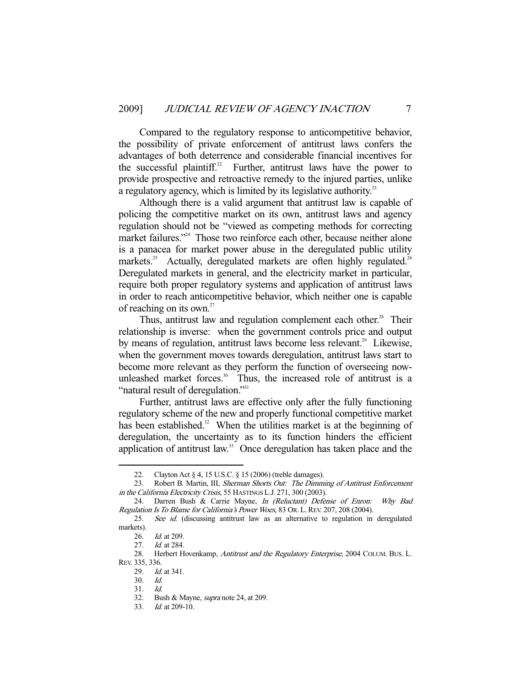Compared to the regulatory response to anticompetitive behavior, the possibility of private enforcement of antitrust laws confers the advantages of both deterrence and considerable financial incentives for the successful plaintiff.<sup>22</sup> Further, antitrust laws have the power to provide prospective and retroactive remedy to the injured parties, unlike a regulatory agency, which is limited by its legislative authority.<sup>23</sup>

 Although there is a valid argument that antitrust law is capable of policing the competitive market on its own, antitrust laws and agency regulation should not be "viewed as competing methods for correcting market failures."<sup>24</sup> Those two reinforce each other, because neither alone is a panacea for market power abuse in the deregulated public utility markets.<sup>25</sup> Actually, deregulated markets are often highly regulated.<sup>26</sup> Deregulated markets in general, and the electricity market in particular, require both proper regulatory systems and application of antitrust laws in order to reach anticompetitive behavior, which neither one is capable of reaching on its own.<sup>27</sup>

Thus, antitrust law and regulation complement each other.<sup>28</sup> Their relationship is inverse: when the government controls price and output by means of regulation, antitrust laws become less relevant.<sup>29</sup> Likewise, when the government moves towards deregulation, antitrust laws start to become more relevant as they perform the function of overseeing nowunleashed market forces.<sup>30</sup> Thus, the increased role of antitrust is a "natural result of deregulation."<sup>31</sup>

 Further, antitrust laws are effective only after the fully functioning regulatory scheme of the new and properly functional competitive market has been established.<sup>32</sup> When the utilities market is at the beginning of deregulation, the uncertainty as to its function hinders the efficient application of antitrust law.<sup>33</sup> Once deregulation has taken place and the

<sup>22.</sup> Clayton Act § 4, 15 U.S.C. § 15 (2006) (treble damages).<br>23. Robert B. Martin, III, *Sherman Shorts Out: The Dimm* 

Robert B. Martin, III, Sherman Shorts Out: The Dimming of Antitrust Enforcement in the California Electricity Crisis, 55 HASTINGS L.J. 271, 300 (2003).

<sup>24.</sup> Darren Bush & Carrie Mayne, In (Reluctant) Defense of Enron: Why Bad Regulation Is To Blame for California's Power Woes, 83 Or. L. REV. 207, 208 (2004).

 <sup>25.</sup> See id. (discussing antitrust law as an alternative to regulation in deregulated markets).

 <sup>26.</sup> Id. at 209.

 <sup>27.</sup> Id. at 284.

<sup>28.</sup> Herbert Hovenkamp, Antitrust and the Regulatory Enterprise, 2004 COLUM. BUS. L. REV. 335, 336.

<sup>29.</sup> *Id.* at 341.

 <sup>30.</sup> Id.

 <sup>31.</sup> Id.

 <sup>32.</sup> Bush & Mayne, supra note 24, at 209.

<sup>33.</sup> *Id.* at 209-10.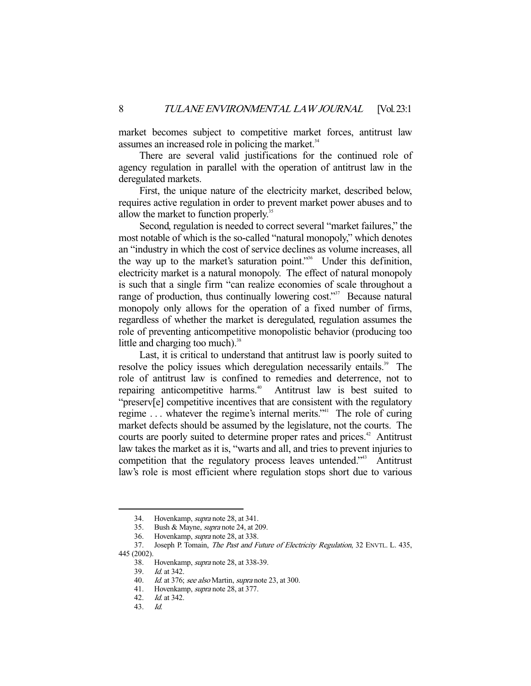market becomes subject to competitive market forces, antitrust law assumes an increased role in policing the market.<sup>34</sup>

 There are several valid justifications for the continued role of agency regulation in parallel with the operation of antitrust law in the deregulated markets.

 First, the unique nature of the electricity market, described below, requires active regulation in order to prevent market power abuses and to allow the market to function properly.<sup>35</sup>

 Second, regulation is needed to correct several "market failures," the most notable of which is the so-called "natural monopoly," which denotes an "industry in which the cost of service declines as volume increases, all the way up to the market's saturation point."36 Under this definition, electricity market is a natural monopoly. The effect of natural monopoly is such that a single firm "can realize economies of scale throughout a range of production, thus continually lowering  $cost$ . Because natural monopoly only allows for the operation of a fixed number of firms, regardless of whether the market is deregulated, regulation assumes the role of preventing anticompetitive monopolistic behavior (producing too little and charging too much). $38$ 

 Last, it is critical to understand that antitrust law is poorly suited to resolve the policy issues which deregulation necessarily entails.<sup>39</sup> The role of antitrust law is confined to remedies and deterrence, not to repairing anticompetitive harms.<sup>40</sup> Antitrust law is best suited to "preserv[e] competitive incentives that are consistent with the regulatory regime ... whatever the regime's internal merits."<sup>41</sup> The role of curing market defects should be assumed by the legislature, not the courts. The courts are poorly suited to determine proper rates and prices.<sup>42</sup> Antitrust law takes the market as it is, "warts and all, and tries to prevent injuries to competition that the regulatory process leaves untended."<sup>43</sup> Antitrust law's role is most efficient where regulation stops short due to various

 <sup>34.</sup> Hovenkamp, supra note 28, at 341.

 <sup>35.</sup> Bush & Mayne, supra note 24, at 209.

 <sup>36.</sup> Hovenkamp, supra note 28, at 338.

<sup>37.</sup> Joseph P. Tomain, *The Past and Future of Electricity Regulation*, 32 ENVTL. L. 435, 445 (2002).

<sup>38.</sup> Hovenkamp, *supra* note 28, at 338-39.

 <sup>39.</sup> Id. at 342.

<sup>40.</sup> Id. at 376; see also Martin, supra note 23, at 300.

<sup>41.</sup> Hovenkamp, *supra* note 28, at 377.

 <sup>42.</sup> Id. at 342.

 <sup>43.</sup> Id.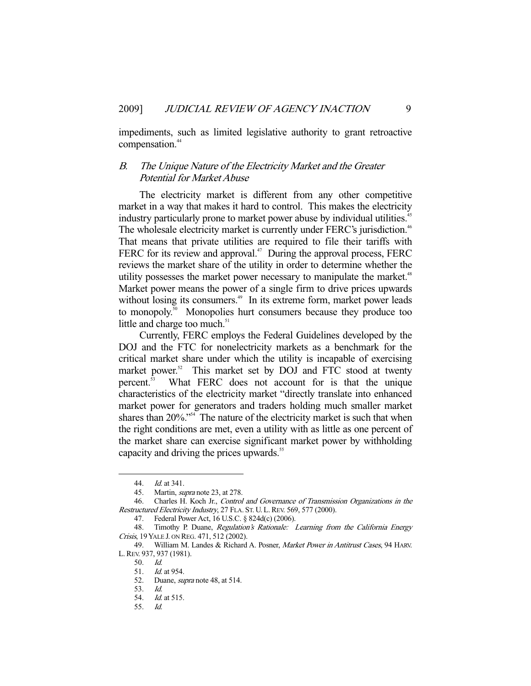impediments, such as limited legislative authority to grant retroactive compensation.<sup>44</sup>

#### B. The Unique Nature of the Electricity Market and the Greater Potential for Market Abuse

 The electricity market is different from any other competitive market in a way that makes it hard to control. This makes the electricity industry particularly prone to market power abuse by individual utilities.<sup>45</sup> The wholesale electricity market is currently under FERC's jurisdiction.<sup>46</sup> That means that private utilities are required to file their tariffs with FERC for its review and approval.<sup>47</sup> During the approval process, FERC reviews the market share of the utility in order to determine whether the utility possesses the market power necessary to manipulate the market.<sup>48</sup> Market power means the power of a single firm to drive prices upwards without losing its consumers.<sup>49</sup> In its extreme form, market power leads to monopoly.<sup>50</sup> Monopolies hurt consumers because they produce too little and charge too much.<sup>51</sup>

 Currently, FERC employs the Federal Guidelines developed by the DOJ and the FTC for nonelectricity markets as a benchmark for the critical market share under which the utility is incapable of exercising market power.<sup>52</sup> This market set by DOJ and FTC stood at twenty percent.53 What FERC does not account for is that the unique characteristics of the electricity market "directly translate into enhanced market power for generators and traders holding much smaller market shares than  $20\%$ ."<sup>54</sup> The nature of the electricity market is such that when the right conditions are met, even a utility with as little as one percent of the market share can exercise significant market power by withholding capacity and driving the prices upwards.<sup>55</sup>

 <sup>44.</sup> Id. at 341.

 <sup>45.</sup> Martin, supra note 23, at 278.

 <sup>46.</sup> Charles H. Koch Jr., Control and Governance of Transmission Organizations in the Restructured Electricity Industry, 27 FLA. ST. U. L. REV. 569, 577 (2000).

 <sup>47.</sup> Federal Power Act, 16 U.S.C. § 824d(c) (2006).

<sup>48.</sup> Timothy P. Duane, Regulation's Rationale: Learning from the California Energy Crisis, 19 YALE J. ON REG. 471, 512 (2002).

<sup>49.</sup> William M. Landes & Richard A. Posner, Market Power in Antitrust Cases, 94 HARV. L.REV. 937, 937 (1981).

 <sup>50.</sup> Id.

<sup>51.</sup> *Id.* at 954.

<sup>52.</sup> Duane, *supra* note 48, at 514.

 <sup>53.</sup> Id.

 <sup>54.</sup> Id. at 515.

 <sup>55.</sup> Id.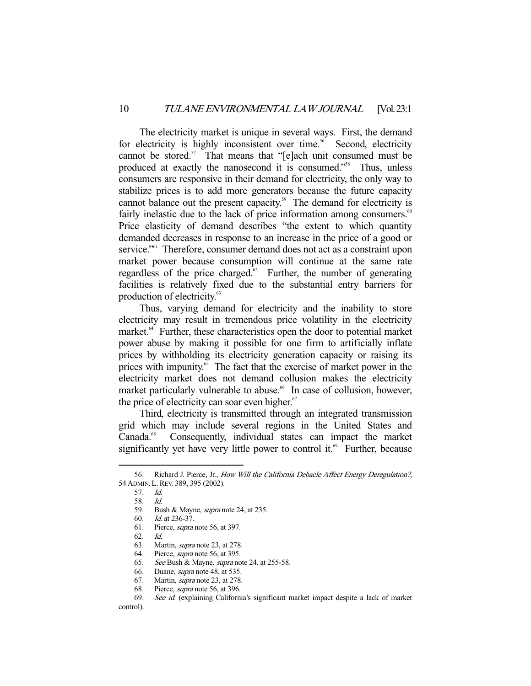The electricity market is unique in several ways. First, the demand for electricity is highly inconsistent over time.<sup>56</sup> Second, electricity cannot be stored.<sup>57</sup> That means that "[e]ach unit consumed must be produced at exactly the nanosecond it is consumed."<sup>58</sup> Thus, unless consumers are responsive in their demand for electricity, the only way to stabilize prices is to add more generators because the future capacity cannot balance out the present capacity.<sup>59</sup> The demand for electricity is fairly inelastic due to the lack of price information among consumers. $60$ Price elasticity of demand describes "the extent to which quantity demanded decreases in response to an increase in the price of a good or service."<sup>61</sup> Therefore, consumer demand does not act as a constraint upon market power because consumption will continue at the same rate regardless of the price charged. $62$  Further, the number of generating facilities is relatively fixed due to the substantial entry barriers for production of electricity.<sup>63</sup>

 Thus, varying demand for electricity and the inability to store electricity may result in tremendous price volatility in the electricity market.<sup>64</sup> Further, these characteristics open the door to potential market power abuse by making it possible for one firm to artificially inflate prices by withholding its electricity generation capacity or raising its prices with impunity.<sup>65</sup> The fact that the exercise of market power in the electricity market does not demand collusion makes the electricity market particularly vulnerable to abuse.<sup>66</sup> In case of collusion, however, the price of electricity can soar even higher.<sup>67</sup>

 Third, electricity is transmitted through an integrated transmission grid which may include several regions in the United States and Canada.<sup>68</sup> Consequently, individual states can impact the market significantly yet have very little power to control it.<sup> $69$ </sup> Further, because

<sup>56.</sup> Richard J. Pierce, Jr., How Will the California Debacle Affect Energy Deregulation?, 54 ADMIN.L.REV. 389, 395 (2002).

 <sup>57.</sup> Id.

 <sup>58.</sup> Id.

 <sup>59.</sup> Bush & Mayne, supra note 24, at 235.

 <sup>60.</sup> Id. at 236-37.

 <sup>61.</sup> Pierce, supra note 56, at 397.

 <sup>62.</sup> Id.

 <sup>63.</sup> Martin, supra note 23, at 278.

<sup>64.</sup> Pierce, *supra* note 56, at 395.<br>65. See Bush & Mayne, *supra* no

<sup>65.</sup> See Bush & Mayne, *supra* note 24, at 255-58.<br>66. Duane, *supra* note 48, at 535.<br>67. Martin, *supra* note 23, at 278.

Duane, *supra* note 48, at 535.

<sup>67.</sup> Martin, *supra* note 23, at 278.<br>68. Pierce, *supra* note 56, at 396.

Pierce, *supra* note 56, at 396.

 <sup>69.</sup> See id. (explaining California's significant market impact despite a lack of market

control).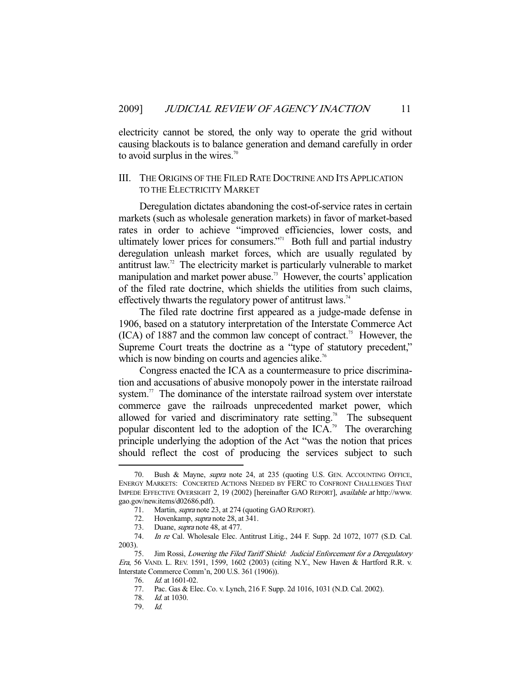electricity cannot be stored, the only way to operate the grid without causing blackouts is to balance generation and demand carefully in order to avoid surplus in the wires. $\frac{70}{2}$ 

#### III. THE ORIGINS OF THE FILED RATE DOCTRINE AND ITS APPLICATION TO THE ELECTRICITY MARKET

 Deregulation dictates abandoning the cost-of-service rates in certain markets (such as wholesale generation markets) in favor of market-based rates in order to achieve "improved efficiencies, lower costs, and ultimately lower prices for consumers."<sup>71</sup> Both full and partial industry deregulation unleash market forces, which are usually regulated by antitrust law.72 The electricity market is particularly vulnerable to market manipulation and market power abuse.<sup>73</sup> However, the courts' application of the filed rate doctrine, which shields the utilities from such claims, effectively thwarts the regulatory power of antitrust laws.<sup>74</sup>

 The filed rate doctrine first appeared as a judge-made defense in 1906, based on a statutory interpretation of the Interstate Commerce Act  $(ICA)$  of 1887 and the common law concept of contract.<sup>75</sup> However, the Supreme Court treats the doctrine as a "type of statutory precedent," which is now binding on courts and agencies alike.<sup>76</sup>

 Congress enacted the ICA as a countermeasure to price discrimination and accusations of abusive monopoly power in the interstate railroad system. $\frac{7}{1}$  The dominance of the interstate railroad system over interstate commerce gave the railroads unprecedented market power, which allowed for varied and discriminatory rate setting.<sup>78</sup> The subsequent popular discontent led to the adoption of the ICA.<sup>79</sup> The overarching principle underlying the adoption of the Act "was the notion that prices should reflect the cost of producing the services subject to such

Bush & Mayne, supra note 24, at 235 (quoting U.S. GEN. ACCOUNTING OFFICE, ENERGY MARKETS: CONCERTED ACTIONS NEEDED BY FERC TO CONFRONT CHALLENGES THAT IMPEDE EFFECTIVE OVERSIGHT 2, 19 (2002) [hereinafter GAO REPORT], available at http://www. gao.gov/new.items/d02686.pdf).

<sup>71.</sup> Martin, *supra* note 23, at 274 (quoting GAO REPORT).

<sup>72.</sup> Hovenkamp, *supra* note 28, at 341.

 <sup>73.</sup> Duane, supra note 48, at 477.

 <sup>74.</sup> In re Cal. Wholesale Elec. Antitrust Litig., 244 F. Supp. 2d 1072, 1077 (S.D. Cal. 2003).

 <sup>75.</sup> Jim Rossi, Lowering the Filed Tariff Shield: Judicial Enforcement for a Deregulatory Era, 56 VAND. L. REV. 1591, 1599, 1602 (2003) (citing N.Y., New Haven & Hartford R.R. v. Interstate Commerce Comm'n, 200 U.S. 361 (1906)).

 <sup>76.</sup> Id. at 1601-02.

 <sup>77.</sup> Pac. Gas & Elec. Co. v. Lynch, 216 F. Supp. 2d 1016, 1031 (N.D. Cal. 2002).

 <sup>78.</sup> Id. at 1030.

 <sup>79.</sup> Id.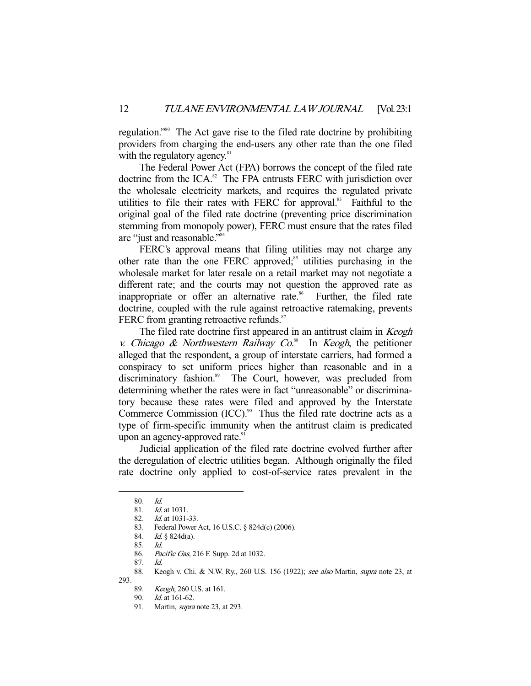regulation."80 The Act gave rise to the filed rate doctrine by prohibiting providers from charging the end-users any other rate than the one filed with the regulatory agency. $81$ 

 The Federal Power Act (FPA) borrows the concept of the filed rate doctrine from the ICA. $82$  The FPA entrusts FERC with jurisdiction over the wholesale electricity markets, and requires the regulated private utilities to file their rates with FERC for approval.<sup>83</sup> Faithful to the original goal of the filed rate doctrine (preventing price discrimination stemming from monopoly power), FERC must ensure that the rates filed are "just and reasonable."84

FERC's approval means that filing utilities may not charge any other rate than the one FERC approved;<sup>85</sup> utilities purchasing in the wholesale market for later resale on a retail market may not negotiate a different rate; and the courts may not question the approved rate as inappropriate or offer an alternative rate.<sup>86</sup> Further, the filed rate doctrine, coupled with the rule against retroactive ratemaking, prevents FERC from granting retroactive refunds.<sup>87</sup>

The filed rate doctrine first appeared in an antitrust claim in Keogh v. Chicago & Northwestern Railway  $Co^{88}$  In Keogh, the petitioner alleged that the respondent, a group of interstate carriers, had formed a conspiracy to set uniform prices higher than reasonable and in a discriminatory fashion.<sup>89</sup> The Court, however, was precluded from determining whether the rates were in fact "unreasonable" or discriminatory because these rates were filed and approved by the Interstate Commerce Commission  $(ICC)$ .<sup>90</sup> Thus the filed rate doctrine acts as a type of firm-specific immunity when the antitrust claim is predicated upon an agency-approved rate.<sup>91</sup>

 Judicial application of the filed rate doctrine evolved further after the deregulation of electric utilities began. Although originally the filed rate doctrine only applied to cost-of-service rates prevalent in the

 <sup>80.</sup> Id.

 <sup>81.</sup> Id. at 1031.

 <sup>82.</sup> Id. at 1031-33.

 <sup>83.</sup> Federal Power Act, 16 U.S.C. § 824d(c) (2006).

 <sup>84.</sup> Id. § 824d(a).

 <sup>85.</sup> Id.

<sup>86.</sup> Pacific Gas, 216 F. Supp. 2d at 1032.

 <sup>87.</sup> Id.

<sup>88.</sup> Keogh v. Chi. & N.W. Ry., 260 U.S. 156 (1922); see also Martin, supra note 23, at

<sup>293.</sup> 

 <sup>89.</sup> Keogh, 260 U.S. at 161.

 <sup>90.</sup> Id. at 161-62.

<sup>91.</sup> Martin, *supra* note 23, at 293.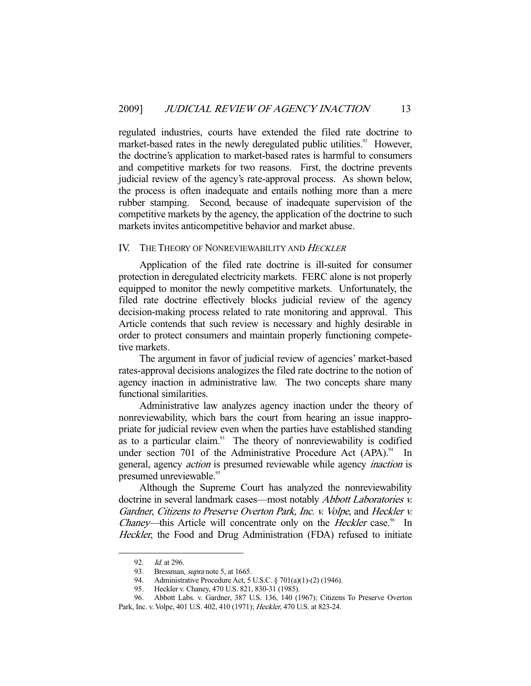regulated industries, courts have extended the filed rate doctrine to market-based rates in the newly deregulated public utilities.<sup>92</sup> However, the doctrine's application to market-based rates is harmful to consumers and competitive markets for two reasons. First, the doctrine prevents judicial review of the agency's rate-approval process. As shown below, the process is often inadequate and entails nothing more than a mere rubber stamping. Second, because of inadequate supervision of the competitive markets by the agency, the application of the doctrine to such markets invites anticompetitive behavior and market abuse.

#### IV. THE THEORY OF NONREVIEWABILITY AND HECKLER

 Application of the filed rate doctrine is ill-suited for consumer protection in deregulated electricity markets. FERC alone is not properly equipped to monitor the newly competitive markets. Unfortunately, the filed rate doctrine effectively blocks judicial review of the agency decision-making process related to rate monitoring and approval. This Article contends that such review is necessary and highly desirable in order to protect consumers and maintain properly functioning competetive markets.

 The argument in favor of judicial review of agencies' market-based rates-approval decisions analogizes the filed rate doctrine to the notion of agency inaction in administrative law. The two concepts share many functional similarities.

 Administrative law analyzes agency inaction under the theory of nonreviewability, which bars the court from hearing an issue inappropriate for judicial review even when the parties have established standing as to a particular claim.<sup>93</sup> The theory of nonreviewability is codified under section 701 of the Administrative Procedure Act  $(APA).<sup>94</sup>$  In general, agency action is presumed reviewable while agency inaction is presumed unreviewable.<sup>95</sup>

 Although the Supreme Court has analyzed the nonreviewability doctrine in several landmark cases—most notably *Abbott Laboratories v.* Gardner, Citizens to Preserve Overton Park, Inc. v. Volpe, and Heckler v. Chaney—this Article will concentrate only on the *Heckler* case.<sup>96</sup> In Heckler, the Food and Drug Administration (FDA) refused to initiate

 <sup>92.</sup> Id. at 296.

<sup>93.</sup> Bressman, *supra* note 5, at 1665.

 <sup>94.</sup> Administrative Procedure Act, 5 U.S.C. § 701(a)(1)-(2) (1946).

 <sup>95.</sup> Heckler v. Chaney, 470 U.S. 821, 830-31 (1985).

 <sup>96.</sup> Abbott Labs. v. Gardner, 387 U.S. 136, 140 (1967); Citizens To Preserve Overton Park, Inc. v. Volpe, 401 U.S. 402, 410 (1971); Heckler, 470 U.S. at 823-24.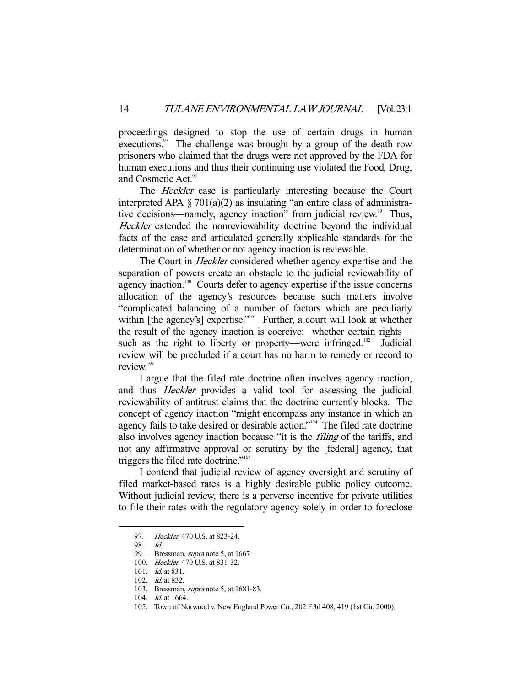proceedings designed to stop the use of certain drugs in human executions.<sup>97</sup> The challenge was brought by a group of the death row prisoners who claimed that the drugs were not approved by the FDA for human executions and thus their continuing use violated the Food, Drug, and Cosmetic Act.<sup>98</sup>

 The Heckler case is particularly interesting because the Court interpreted APA  $\S 701(a)(2)$  as insulating "an entire class of administrative decisions—namely, agency inaction" from judicial review.<sup>99</sup> Thus, Heckler extended the nonreviewability doctrine beyond the individual facts of the case and articulated generally applicable standards for the determination of whether or not agency inaction is reviewable.

The Court in *Heckler* considered whether agency expertise and the separation of powers create an obstacle to the judicial reviewability of agency inaction.<sup>100</sup> Courts defer to agency expertise if the issue concerns allocation of the agency's resources because such matters involve "complicated balancing of a number of factors which are peculiarly within [the agency's] expertise."<sup>101</sup> Further, a court will look at whether the result of the agency inaction is coercive: whether certain rights such as the right to liberty or property—were infringed.<sup>102</sup> Judicial review will be precluded if a court has no harm to remedy or record to review.<sup>103</sup>

 I argue that the filed rate doctrine often involves agency inaction, and thus Heckler provides a valid tool for assessing the judicial reviewability of antitrust claims that the doctrine currently blocks. The concept of agency inaction "might encompass any instance in which an agency fails to take desired or desirable action."104 The filed rate doctrine also involves agency inaction because "it is the filing of the tariffs, and not any affirmative approval or scrutiny by the [federal] agency, that triggers the filed rate doctrine."105

 I contend that judicial review of agency oversight and scrutiny of filed market-based rates is a highly desirable public policy outcome. Without judicial review, there is a perverse incentive for private utilities to file their rates with the regulatory agency solely in order to foreclose

<sup>97.</sup> Heckler, 470 U.S. at 823-24.

 <sup>98.</sup> Id.

<sup>99.</sup> Bressman, *supra* note 5, at 1667.

 <sup>100.</sup> Heckler, 470 U.S. at 831-32.

 <sup>101.</sup> Id. at 831.

<sup>102.</sup> *Id.* at 832.

<sup>103.</sup> Bressman, *supra* note 5, at 1681-83.

 <sup>104.</sup> Id. at 1664.

 <sup>105.</sup> Town of Norwood v. New England Power Co., 202 F.3d 408, 419 (1st Cir. 2000).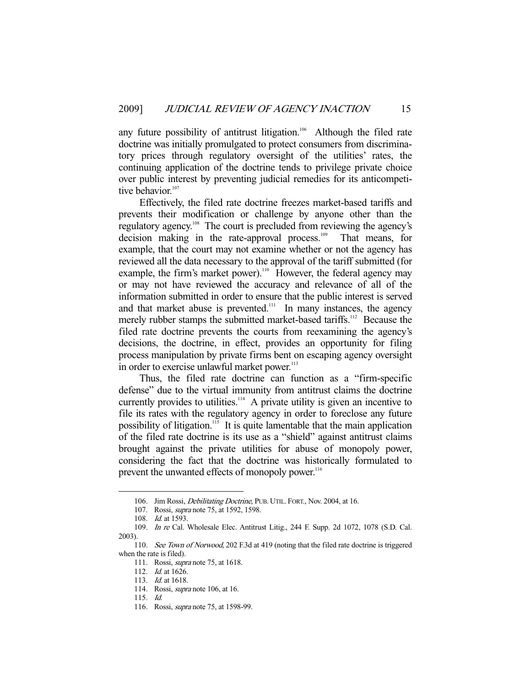any future possibility of antitrust litigation.<sup>106</sup> Although the filed rate doctrine was initially promulgated to protect consumers from discriminatory prices through regulatory oversight of the utilities' rates, the continuing application of the doctrine tends to privilege private choice over public interest by preventing judicial remedies for its anticompetitive behavior.<sup>107</sup>

 Effectively, the filed rate doctrine freezes market-based tariffs and prevents their modification or challenge by anyone other than the regulatory agency.<sup>108</sup> The court is precluded from reviewing the agency's decision making in the rate-approval process.<sup>109</sup> That means, for example, that the court may not examine whether or not the agency has reviewed all the data necessary to the approval of the tariff submitted (for example, the firm's market power).<sup>110</sup> However, the federal agency may or may not have reviewed the accuracy and relevance of all of the information submitted in order to ensure that the public interest is served and that market abuse is prevented. $\frac{111}{11}$  In many instances, the agency merely rubber stamps the submitted market-based tariffs.<sup>112</sup> Because the filed rate doctrine prevents the courts from reexamining the agency's decisions, the doctrine, in effect, provides an opportunity for filing process manipulation by private firms bent on escaping agency oversight in order to exercise unlawful market power.<sup>113</sup>

 Thus, the filed rate doctrine can function as a "firm-specific defense" due to the virtual immunity from antitrust claims the doctrine currently provides to utilities.<sup>114</sup> A private utility is given an incentive to file its rates with the regulatory agency in order to foreclose any future possibility of litigation.<sup>115</sup> It is quite lamentable that the main application of the filed rate doctrine is its use as a "shield" against antitrust claims brought against the private utilities for abuse of monopoly power, considering the fact that the doctrine was historically formulated to prevent the unwanted effects of monopoly power.<sup>116</sup>

<sup>106.</sup> Jim Rossi, *Debilitating Doctrine*, PUB. UTIL. FORT., Nov. 2004, at 16.

<sup>107.</sup> Rossi, *supra* note 75, at 1592, 1598.

<sup>108.</sup> *Id.* at 1593.

 <sup>109.</sup> In re Cal. Wholesale Elec. Antitrust Litig., 244 F. Supp. 2d 1072, 1078 (S.D. Cal. 2003).

<sup>110.</sup> See Town of Norwood, 202 F.3d at 419 (noting that the filed rate doctrine is triggered when the rate is filed).

 <sup>111.</sup> Rossi, supra note 75, at 1618.

 <sup>112.</sup> Id. at 1626.

<sup>113.</sup> *Id.* at 1618.

 <sup>114.</sup> Rossi, supra note 106, at 16.

 <sup>115.</sup> Id.

 <sup>116.</sup> Rossi, supra note 75, at 1598-99.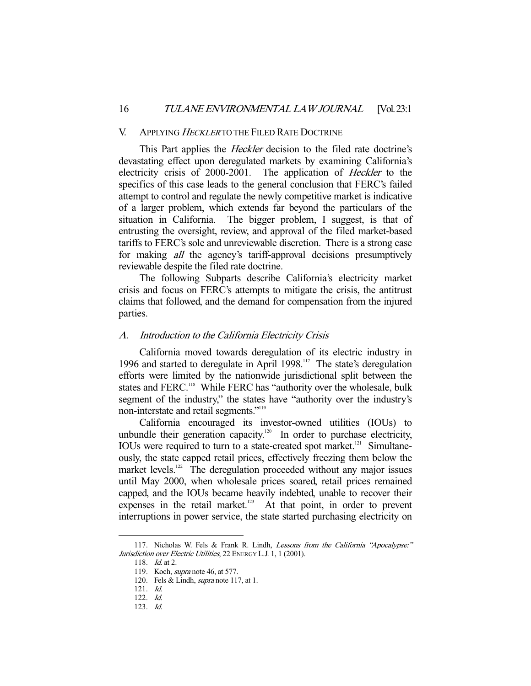#### V. APPLYING HECKLER TO THE FILED RATE DOCTRINE

This Part applies the *Heckler* decision to the filed rate doctrine's devastating effect upon deregulated markets by examining California's electricity crisis of 2000-2001. The application of Heckler to the specifics of this case leads to the general conclusion that FERC's failed attempt to control and regulate the newly competitive market is indicative of a larger problem, which extends far beyond the particulars of the situation in California. The bigger problem, I suggest, is that of entrusting the oversight, review, and approval of the filed market-based tariffs to FERC's sole and unreviewable discretion. There is a strong case for making all the agency's tariff-approval decisions presumptively reviewable despite the filed rate doctrine.

 The following Subparts describe California's electricity market crisis and focus on FERC's attempts to mitigate the crisis, the antitrust claims that followed, and the demand for compensation from the injured parties.

#### A. Introduction to the California Electricity Crisis

 California moved towards deregulation of its electric industry in 1996 and started to deregulate in April 1998.<sup>117</sup> The state's deregulation efforts were limited by the nationwide jurisdictional split between the states and FERC.<sup>118</sup> While FERC has "authority over the wholesale, bulk segment of the industry," the states have "authority over the industry's non-interstate and retail segments."<sup>119</sup>

 California encouraged its investor-owned utilities (IOUs) to unbundle their generation capacity.<sup>120</sup> In order to purchase electricity, IOUs were required to turn to a state-created spot market.<sup>121</sup> Simultaneously, the state capped retail prices, effectively freezing them below the market levels.<sup>122</sup> The deregulation proceeded without any major issues until May 2000, when wholesale prices soared, retail prices remained capped, and the IOUs became heavily indebted, unable to recover their expenses in the retail market. $123$  At that point, in order to prevent interruptions in power service, the state started purchasing electricity on

<sup>117.</sup> Nicholas W. Fels & Frank R. Lindh, Lessons from the California "Apocalypse:" Jurisdiction over Electric Utilities, 22 ENERGY L.J. 1, 1 (2001).

 <sup>118.</sup> Id. at 2.

 <sup>119.</sup> Koch, supra note 46, at 577.

<sup>120.</sup> Fels & Lindh, *supra* note 117, at 1.

 <sup>121.</sup> Id.

 <sup>122.</sup> Id.

 <sup>123.</sup> Id.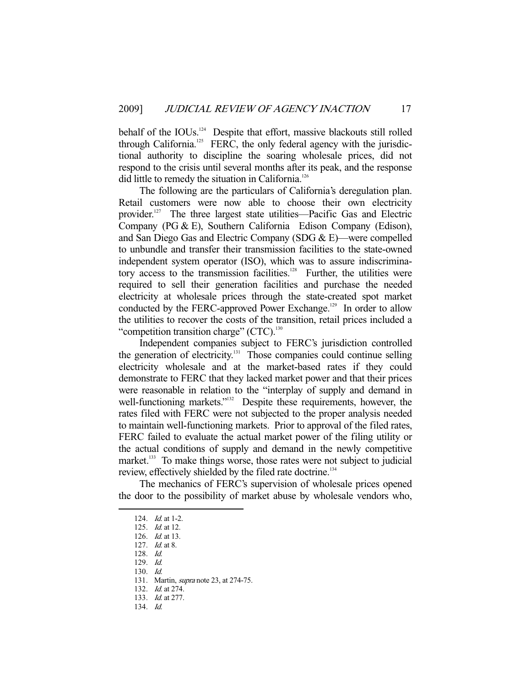behalf of the IOUs.<sup>124</sup> Despite that effort, massive blackouts still rolled through California.<sup>125</sup> FERC, the only federal agency with the jurisdictional authority to discipline the soaring wholesale prices, did not respond to the crisis until several months after its peak, and the response did little to remedy the situation in California.<sup>126</sup>

 The following are the particulars of California's deregulation plan. Retail customers were now able to choose their own electricity provider.127 The three largest state utilities—Pacific Gas and Electric Company (PG & E), Southern California Edison Company (Edison), and San Diego Gas and Electric Company (SDG & E)—were compelled to unbundle and transfer their transmission facilities to the state-owned independent system operator (ISO), which was to assure indiscriminatory access to the transmission facilities.<sup>128</sup> Further, the utilities were required to sell their generation facilities and purchase the needed electricity at wholesale prices through the state-created spot market conducted by the FERC-approved Power Exchange.<sup>129</sup> In order to allow the utilities to recover the costs of the transition, retail prices included a "competition transition charge"  $(CTC)^{130}$ 

 Independent companies subject to FERC's jurisdiction controlled the generation of electricity.<sup>131</sup> Those companies could continue selling electricity wholesale and at the market-based rates if they could demonstrate to FERC that they lacked market power and that their prices were reasonable in relation to the "interplay of supply and demand in well-functioning markets."<sup>132</sup> Despite these requirements, however, the rates filed with FERC were not subjected to the proper analysis needed to maintain well-functioning markets. Prior to approval of the filed rates, FERC failed to evaluate the actual market power of the filing utility or the actual conditions of supply and demand in the newly competitive market.<sup>133</sup> To make things worse, those rates were not subject to judicial review, effectively shielded by the filed rate doctrine.<sup>134</sup>

 The mechanics of FERC's supervision of wholesale prices opened the door to the possibility of market abuse by wholesale vendors who,

128. Id.

-

130. Id.

<sup>124.</sup> *Id.* at 1-2.

<sup>125.</sup> *Id.* at 12.

 <sup>126.</sup> Id. at 13.

 <sup>127.</sup> Id. at 8.

 <sup>129.</sup> Id.

<sup>131.</sup> Martin, *supra* note 23, at 274-75.

 <sup>132.</sup> Id. at 274.

 <sup>133.</sup> Id. at 277.

 <sup>134.</sup> Id.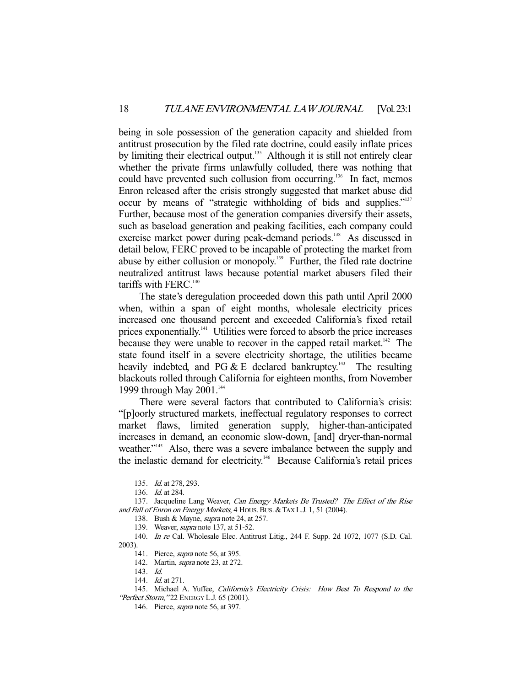being in sole possession of the generation capacity and shielded from antitrust prosecution by the filed rate doctrine, could easily inflate prices by limiting their electrical output.<sup>135</sup> Although it is still not entirely clear whether the private firms unlawfully colluded, there was nothing that could have prevented such collusion from occurring.<sup>136</sup> In fact, memos Enron released after the crisis strongly suggested that market abuse did occur by means of "strategic withholding of bids and supplies."137 Further, because most of the generation companies diversify their assets, such as baseload generation and peaking facilities, each company could exercise market power during peak-demand periods.<sup>138</sup> As discussed in detail below, FERC proved to be incapable of protecting the market from abuse by either collusion or monopoly.<sup>139</sup> Further, the filed rate doctrine neutralized antitrust laws because potential market abusers filed their tariffs with FERC. $140$ 

 The state's deregulation proceeded down this path until April 2000 when, within a span of eight months, wholesale electricity prices increased one thousand percent and exceeded California's fixed retail prices exponentially.<sup>141</sup> Utilities were forced to absorb the price increases because they were unable to recover in the capped retail market.<sup>142</sup> The state found itself in a severe electricity shortage, the utilities became heavily indebted, and PG  $&$  E declared bankruptcy.<sup>143</sup> The resulting blackouts rolled through California for eighteen months, from November 1999 through May  $2001$ .<sup>144</sup>

 There were several factors that contributed to California's crisis: "[p]oorly structured markets, ineffectual regulatory responses to correct market flaws, limited generation supply, higher-than-anticipated increases in demand, an economic slow-down, [and] dryer-than-normal weather."<sup>145</sup> Also, there was a severe imbalance between the supply and the inelastic demand for electricity.<sup>146</sup> Because California's retail prices

 <sup>135.</sup> Id. at 278, 293.

 <sup>136.</sup> Id. at 284.

<sup>137.</sup> Jacqueline Lang Weaver, *Can Energy Markets Be Trusted? The Effect of the Rise* and Fall of Enron on Energy Markets, 4 HOUS. BUS. & TAX L.J. 1, 51 (2004).

<sup>138.</sup> Bush & Mayne, *supra* note 24, at 257.

<sup>139.</sup> Weaver, *supra* note 137, at 51-52.

 <sup>140.</sup> In re Cal. Wholesale Elec. Antitrust Litig., 244 F. Supp. 2d 1072, 1077 (S.D. Cal. 2003).

 <sup>141.</sup> Pierce, supra note 56, at 395.

 <sup>142.</sup> Martin, supra note 23, at 272.

 <sup>143.</sup> Id.

<sup>144.</sup> *Id.* at 271.

<sup>145.</sup> Michael A. Yuffee, California's Electricity Crisis: How Best To Respond to the "Perfect Storm, "22 ENERGY L.J. 65 (2001).

 <sup>146.</sup> Pierce, supra note 56, at 397.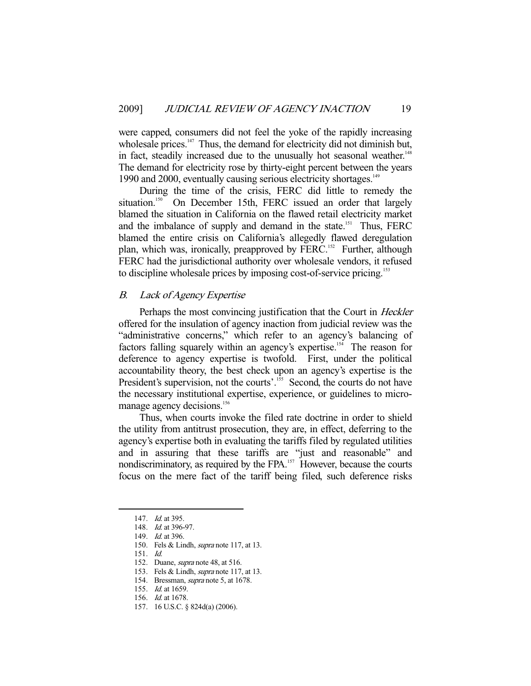were capped, consumers did not feel the yoke of the rapidly increasing wholesale prices.<sup>147</sup> Thus, the demand for electricity did not diminish but, in fact, steadily increased due to the unusually hot seasonal weather.<sup>148</sup> The demand for electricity rose by thirty-eight percent between the years 1990 and 2000, eventually causing serious electricity shortages.<sup>149</sup>

 During the time of the crisis, FERC did little to remedy the situation.<sup>150</sup> On December 15th, FERC issued an order that largely blamed the situation in California on the flawed retail electricity market and the imbalance of supply and demand in the state.<sup>151</sup> Thus, FERC blamed the entire crisis on California's allegedly flawed deregulation plan, which was, ironically, preapproved by FERC.<sup>152</sup> Further, although FERC had the jurisdictional authority over wholesale vendors, it refused to discipline wholesale prices by imposing cost-of-service pricing.<sup>153</sup>

#### B. Lack of Agency Expertise

Perhaps the most convincing justification that the Court in Heckler offered for the insulation of agency inaction from judicial review was the "administrative concerns," which refer to an agency's balancing of factors falling squarely within an agency's expertise.<sup>154</sup> The reason for deference to agency expertise is twofold. First, under the political accountability theory, the best check upon an agency's expertise is the President's supervision, not the courts'.<sup>155</sup> Second, the courts do not have the necessary institutional expertise, experience, or guidelines to micromanage agency decisions.<sup>156</sup>

 Thus, when courts invoke the filed rate doctrine in order to shield the utility from antitrust prosecution, they are, in effect, deferring to the agency's expertise both in evaluating the tariffs filed by regulated utilities and in assuring that these tariffs are "just and reasonable" and nondiscriminatory, as required by the FPA.<sup>157</sup> However, because the courts focus on the mere fact of the tariff being filed, such deference risks

<sup>147.</sup> *Id.* at 395.

 <sup>148.</sup> Id. at 396-97.

 <sup>149.</sup> Id. at 396.

<sup>150.</sup> Fels & Lindh, *supra* note 117, at 13.

 <sup>151.</sup> Id.

 <sup>152.</sup> Duane, supra note 48, at 516.

<sup>153.</sup> Fels & Lindh, *supra* note 117, at 13.

 <sup>154.</sup> Bressman, supra note 5, at 1678.

 <sup>155.</sup> Id. at 1659.

 <sup>156.</sup> Id. at 1678.

 <sup>157. 16</sup> U.S.C. § 824d(a) (2006).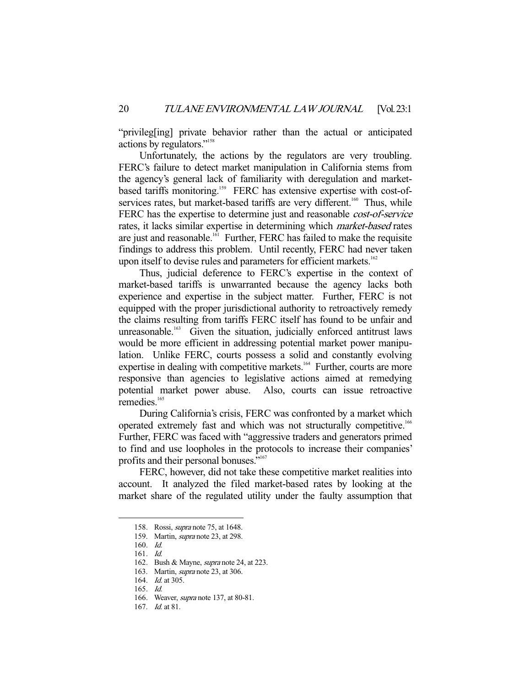"privileg[ing] private behavior rather than the actual or anticipated actions by regulators."158

 Unfortunately, the actions by the regulators are very troubling. FERC's failure to detect market manipulation in California stems from the agency's general lack of familiarity with deregulation and marketbased tariffs monitoring.<sup>159</sup> FERC has extensive expertise with cost-ofservices rates, but market-based tariffs are very different.<sup>160</sup> Thus, while FERC has the expertise to determine just and reasonable *cost-of-service* rates, it lacks similar expertise in determining which market-based rates are just and reasonable.<sup>161</sup> Further, FERC has failed to make the requisite findings to address this problem. Until recently, FERC had never taken upon itself to devise rules and parameters for efficient markets.<sup>162</sup>

 Thus, judicial deference to FERC's expertise in the context of market-based tariffs is unwarranted because the agency lacks both experience and expertise in the subject matter. Further, FERC is not equipped with the proper jurisdictional authority to retroactively remedy the claims resulting from tariffs FERC itself has found to be unfair and unreasonable.<sup>163</sup> Given the situation, judicially enforced antitrust laws would be more efficient in addressing potential market power manipulation. Unlike FERC, courts possess a solid and constantly evolving expertise in dealing with competitive markets.<sup>164</sup> Further, courts are more responsive than agencies to legislative actions aimed at remedying potential market power abuse. Also, courts can issue retroactive remedies.<sup>165</sup>

 During California's crisis, FERC was confronted by a market which operated extremely fast and which was not structurally competitive.166 Further, FERC was faced with "aggressive traders and generators primed to find and use loopholes in the protocols to increase their companies' profits and their personal bonuses."167

 FERC, however, did not take these competitive market realities into account. It analyzed the filed market-based rates by looking at the market share of the regulated utility under the faulty assumption that

 <sup>158.</sup> Rossi, supra note 75, at 1648.

<sup>159.</sup> Martin, *supra* note 23, at 298.

 <sup>160.</sup> Id.

 <sup>161.</sup> Id.

 <sup>162.</sup> Bush & Mayne, supra note 24, at 223.

 <sup>163.</sup> Martin, supra note 23, at 306.

<sup>164.</sup> *Id.* at 305.

 <sup>165.</sup> Id.

 <sup>166.</sup> Weaver, supra note 137, at 80-81.

 <sup>167.</sup> Id. at 81.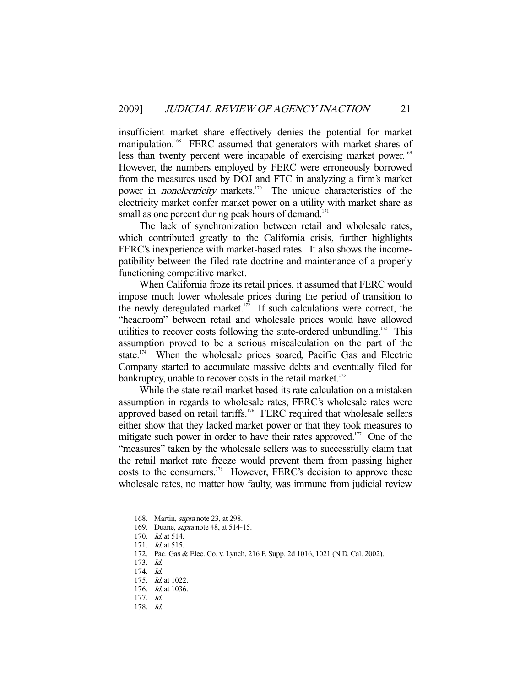insufficient market share effectively denies the potential for market manipulation.<sup>168</sup> FERC assumed that generators with market shares of less than twenty percent were incapable of exercising market power.<sup>169</sup> However, the numbers employed by FERC were erroneously borrowed from the measures used by DOJ and FTC in analyzing a firm's market power in *nonelectricity* markets.<sup>170</sup> The unique characteristics of the electricity market confer market power on a utility with market share as small as one percent during peak hours of demand.<sup>171</sup>

 The lack of synchronization between retail and wholesale rates, which contributed greatly to the California crisis, further highlights FERC's inexperience with market-based rates. It also shows the incomepatibility between the filed rate doctrine and maintenance of a properly functioning competitive market.

 When California froze its retail prices, it assumed that FERC would impose much lower wholesale prices during the period of transition to the newly deregulated market.<sup>172</sup> If such calculations were correct, the "headroom" between retail and wholesale prices would have allowed utilities to recover costs following the state-ordered unbundling. $173$  This assumption proved to be a serious miscalculation on the part of the state.<sup>174</sup> When the wholesale prices soared, Pacific Gas and Electric Company started to accumulate massive debts and eventually filed for bankruptcy, unable to recover costs in the retail market.<sup>175</sup>

 While the state retail market based its rate calculation on a mistaken assumption in regards to wholesale rates, FERC's wholesale rates were approved based on retail tariffs.<sup>176</sup> FERC required that wholesale sellers either show that they lacked market power or that they took measures to mitigate such power in order to have their rates approved.<sup>177</sup> One of the "measures" taken by the wholesale sellers was to successfully claim that the retail market rate freeze would prevent them from passing higher costs to the consumers.<sup>178</sup> However, FERC's decision to approve these wholesale rates, no matter how faulty, was immune from judicial review

 <sup>168.</sup> Martin, supra note 23, at 298.

 <sup>169.</sup> Duane, supra note 48, at 514-15.

 <sup>170.</sup> Id. at 514.

 <sup>171.</sup> Id. at 515.

 <sup>172.</sup> Pac. Gas & Elec. Co. v. Lynch, 216 F. Supp. 2d 1016, 1021 (N.D. Cal. 2002).

 <sup>173.</sup> Id.

 <sup>174.</sup> Id.

 <sup>175.</sup> Id. at 1022.

<sup>176.</sup> *Id.* at 1036.

 <sup>177.</sup> Id.

 <sup>178.</sup> Id.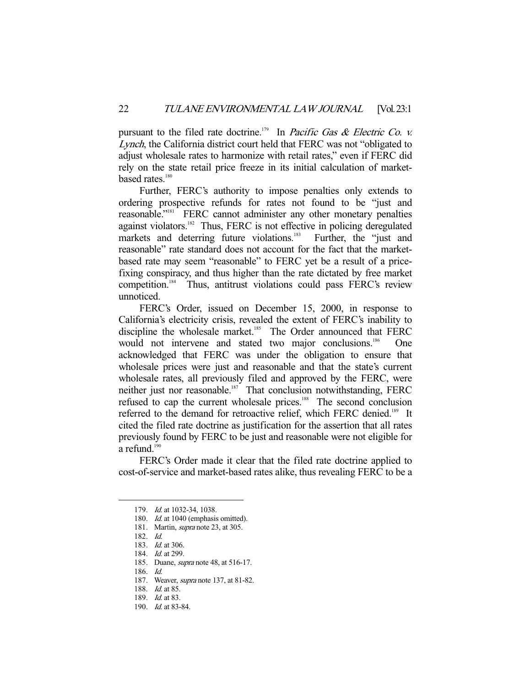pursuant to the filed rate doctrine.<sup>179</sup> In *Pacific Gas & Electric Co. v.* Lynch, the California district court held that FERC was not "obligated to adjust wholesale rates to harmonize with retail rates," even if FERC did rely on the state retail price freeze in its initial calculation of marketbased rates.<sup>180</sup>

 Further, FERC's authority to impose penalties only extends to ordering prospective refunds for rates not found to be "just and reasonable."181 FERC cannot administer any other monetary penalties against violators.<sup>182</sup> Thus, FERC is not effective in policing deregulated markets and deterring future violations.<sup>183</sup> Further, the "just and reasonable" rate standard does not account for the fact that the marketbased rate may seem "reasonable" to FERC yet be a result of a pricefixing conspiracy, and thus higher than the rate dictated by free market competition.<sup>184</sup> Thus, antitrust violations could pass FERC's review unnoticed.

 FERC's Order, issued on December 15, 2000, in response to California's electricity crisis, revealed the extent of FERC's inability to discipline the wholesale market.<sup>185</sup> The Order announced that FERC would not intervene and stated two major conclusions.<sup>186</sup> One acknowledged that FERC was under the obligation to ensure that wholesale prices were just and reasonable and that the state's current wholesale rates, all previously filed and approved by the FERC, were neither just nor reasonable.<sup>187</sup> That conclusion notwithstanding, FERC refused to cap the current wholesale prices.<sup>188</sup> The second conclusion referred to the demand for retroactive relief, which FERC denied.<sup>189</sup> It cited the filed rate doctrine as justification for the assertion that all rates previously found by FERC to be just and reasonable were not eligible for a refund. $190$ 

 FERC's Order made it clear that the filed rate doctrine applied to cost-of-service and market-based rates alike, thus revealing FERC to be a

<sup>179.</sup> *Id.* at 1032-34, 1038.

<sup>180.</sup> Id. at 1040 (emphasis omitted).

 <sup>181.</sup> Martin, supra note 23, at 305.

 <sup>182.</sup> Id.

<sup>183.</sup> *Id.* at 306.

 <sup>184.</sup> Id. at 299.

 <sup>185.</sup> Duane, supra note 48, at 516-17.

 <sup>186.</sup> Id.

<sup>187.</sup> Weaver, *supra* note 137, at 81-82.

<sup>188.</sup> *Id.* at 85.

<sup>189.</sup> *Id.* at 83.

 <sup>190.</sup> Id. at 83-84.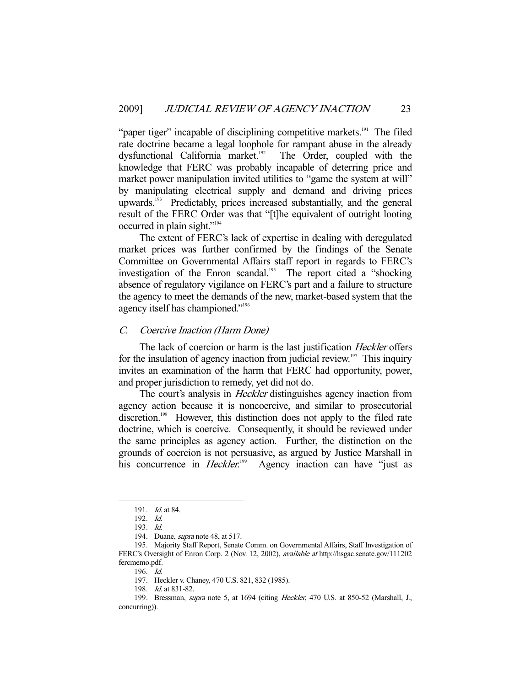"paper tiger" incapable of disciplining competitive markets.<sup>191</sup> The filed rate doctrine became a legal loophole for rampant abuse in the already dysfunctional California market.<sup>192</sup> The Order, coupled with the knowledge that FERC was probably incapable of deterring price and market power manipulation invited utilities to "game the system at will" by manipulating electrical supply and demand and driving prices upwards.193 Predictably, prices increased substantially, and the general result of the FERC Order was that "[t]he equivalent of outright looting occurred in plain sight."194

 The extent of FERC's lack of expertise in dealing with deregulated market prices was further confirmed by the findings of the Senate Committee on Governmental Affairs staff report in regards to FERC's investigation of the Enron scandal.<sup>195</sup> The report cited a "shocking" absence of regulatory vigilance on FERC's part and a failure to structure the agency to meet the demands of the new, market-based system that the agency itself has championed."196

#### C. Coercive Inaction (Harm Done)

The lack of coercion or harm is the last justification *Heckler* offers for the insulation of agency inaction from judicial review.<sup>197</sup> This inquiry invites an examination of the harm that FERC had opportunity, power, and proper jurisdiction to remedy, yet did not do.

The court's analysis in *Heckler* distinguishes agency inaction from agency action because it is noncoercive, and similar to prosecutorial discretion.<sup>198</sup> However, this distinction does not apply to the filed rate doctrine, which is coercive. Consequently, it should be reviewed under the same principles as agency action. Further, the distinction on the grounds of coercion is not persuasive, as argued by Justice Marshall in his concurrence in *Heckler*.<sup>199</sup> Agency inaction can have "just as

-

196. Id.

<sup>191.</sup> *Id.* at 84.

 <sup>192.</sup> Id.

 <sup>193.</sup> Id.

 <sup>194.</sup> Duane, supra note 48, at 517.

 <sup>195.</sup> Majority Staff Report, Senate Comm. on Governmental Affairs, Staff Investigation of FERC's Oversight of Enron Corp. 2 (Nov. 12, 2002), available at http://hsgac.senate.gov/111202 fercmemo.pdf.

 <sup>197.</sup> Heckler v. Chaney, 470 U.S. 821, 832 (1985).

 <sup>198.</sup> Id. at 831-82.

 <sup>199.</sup> Bressman, supra note 5, at 1694 (citing Heckler, 470 U.S. at 850-52 (Marshall, J., concurring)).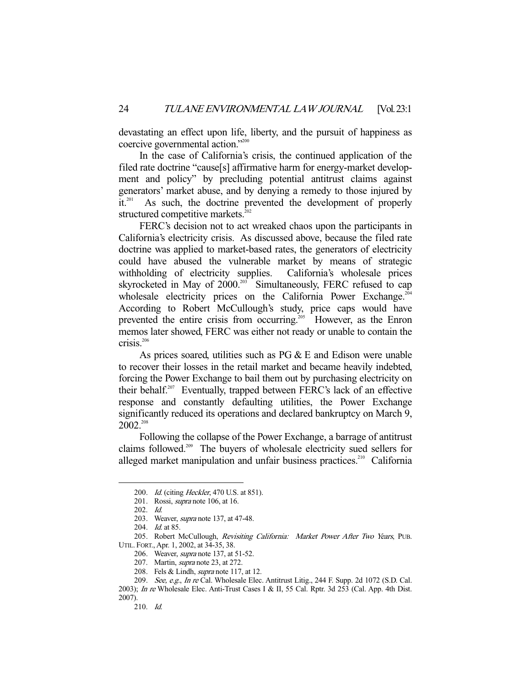devastating an effect upon life, liberty, and the pursuit of happiness as coercive governmental action."<sup>200</sup>

 In the case of California's crisis, the continued application of the filed rate doctrine "cause[s] affirmative harm for energy-market development and policy" by precluding potential antitrust claims against generators' market abuse, and by denying a remedy to those injured by  $it^{201}$  As such, the doctrine prevented the development of properly structured competitive markets.<sup>202</sup>

 FERC's decision not to act wreaked chaos upon the participants in California's electricity crisis. As discussed above, because the filed rate doctrine was applied to market-based rates, the generators of electricity could have abused the vulnerable market by means of strategic withholding of electricity supplies. California's wholesale prices skyrocketed in May of 2000.<sup>203</sup> Simultaneously, FERC refused to cap wholesale electricity prices on the California Power Exchange. $2^{04}$ According to Robert McCullough's study, price caps would have prevented the entire crisis from occurring.<sup>205</sup> However, as the Enron memos later showed, FERC was either not ready or unable to contain the crisis.<sup>206</sup>

 As prices soared, utilities such as PG & E and Edison were unable to recover their losses in the retail market and became heavily indebted, forcing the Power Exchange to bail them out by purchasing electricity on their behalf.207 Eventually, trapped between FERC's lack of an effective response and constantly defaulting utilities, the Power Exchange significantly reduced its operations and declared bankruptcy on March 9,  $2002^{208}$ 

 Following the collapse of the Power Exchange, a barrage of antitrust claims followed.<sup>209</sup> The buyers of wholesale electricity sued sellers for alleged market manipulation and unfair business practices.<sup>210</sup> California

<sup>200.</sup> *Id.* (citing *Heckler*, 470 U.S. at 851).

 <sup>201.</sup> Rossi, supra note 106, at 16.

 <sup>202.</sup> Id.

<sup>203.</sup> Weaver, *supra* note 137, at 47-48.

<sup>204.</sup> *Id.* at 85.

<sup>205.</sup> Robert McCullough, Revisiting California: Market Power After Two Years, PUB. UTIL. FORT., Apr. 1, 2002, at 34-35, 38.

 <sup>206.</sup> Weaver, supra note 137, at 51-52.

<sup>207.</sup> Martin, *supra* note 23, at 272.

<sup>208.</sup> Fels & Lindh, *supra* note 117, at 12.

<sup>209.</sup> See, e.g., In re Cal. Wholesale Elec. Antitrust Litig., 244 F. Supp. 2d 1072 (S.D. Cal. 2003); In re Wholesale Elec. Anti-Trust Cases I & II, 55 Cal. Rptr. 3d 253 (Cal. App. 4th Dist.

<sup>2007).</sup> 

 <sup>210.</sup> Id.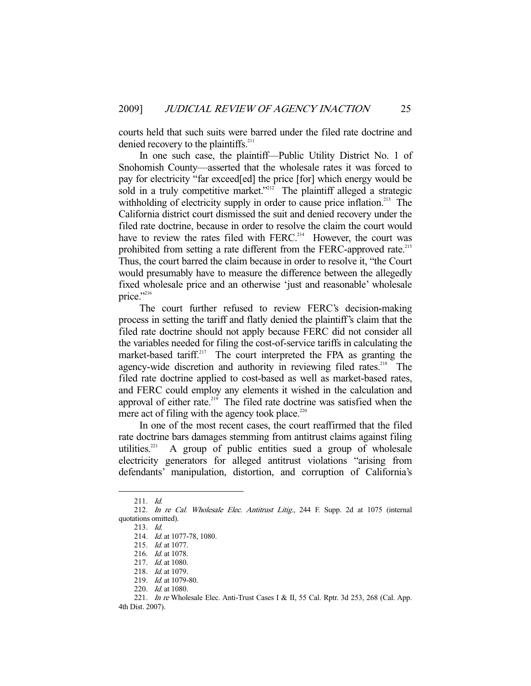courts held that such suits were barred under the filed rate doctrine and denied recovery to the plaintiffs.<sup>211</sup>

 In one such case, the plaintiff—Public Utility District No. 1 of Snohomish County—asserted that the wholesale rates it was forced to pay for electricity "far exceed[ed] the price [for] which energy would be sold in a truly competitive market."<sup>212</sup> The plaintiff alleged a strategic withholding of electricity supply in order to cause price inflation.<sup>213</sup> The California district court dismissed the suit and denied recovery under the filed rate doctrine, because in order to resolve the claim the court would have to review the rates filed with FERC.<sup>214</sup> However, the court was prohibited from setting a rate different from the FERC-approved rate.<sup>215</sup> Thus, the court barred the claim because in order to resolve it, "the Court would presumably have to measure the difference between the allegedly fixed wholesale price and an otherwise 'just and reasonable' wholesale price."216

 The court further refused to review FERC's decision-making process in setting the tariff and flatly denied the plaintiff's claim that the filed rate doctrine should not apply because FERC did not consider all the variables needed for filing the cost-of-service tariffs in calculating the market-based tariff.<sup>217</sup> The court interpreted the FPA as granting the agency-wide discretion and authority in reviewing filed rates.<sup>218</sup> The filed rate doctrine applied to cost-based as well as market-based rates, and FERC could employ any elements it wished in the calculation and approval of either rate.<sup>219</sup> The filed rate doctrine was satisfied when the mere act of filing with the agency took place. $^{220}$ 

 In one of the most recent cases, the court reaffirmed that the filed rate doctrine bars damages stemming from antitrust claims against filing utilities. $221$  A group of public entities sued a group of wholesale electricity generators for alleged antitrust violations "arising from defendants' manipulation, distortion, and corruption of California's

 <sup>211.</sup> Id.

 <sup>212.</sup> In re Cal. Wholesale Elec. Antitrust Litig., 244 F. Supp. 2d at 1075 (internal quotations omitted).

 <sup>213.</sup> Id.

<sup>214.</sup> *Id.* at 1077-78, 1080.

 <sup>215.</sup> Id. at 1077.

<sup>216.</sup> *Id.* at 1078.

 <sup>217.</sup> Id. at 1080.

 <sup>218.</sup> Id. at 1079.

 <sup>219.</sup> Id. at 1079-80.

<sup>220.</sup> *Id.* at 1080.

<sup>221.</sup> In re Wholesale Elec. Anti-Trust Cases I & II, 55 Cal. Rptr. 3d 253, 268 (Cal. App. 4th Dist. 2007).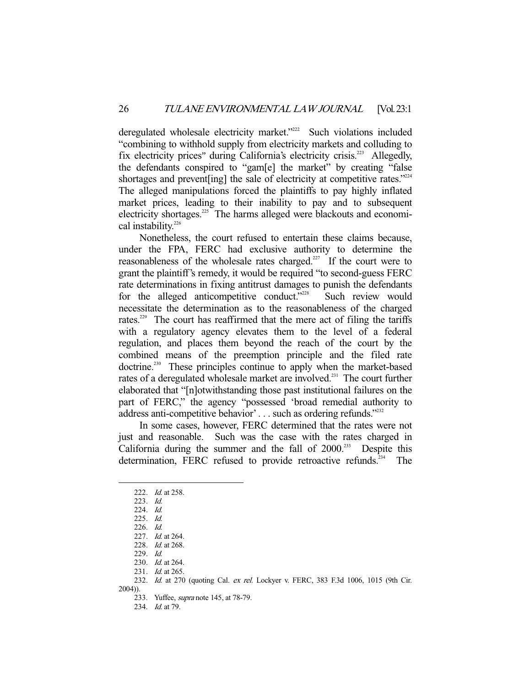deregulated wholesale electricity market."<sup>222</sup> Such violations included "combining to withhold supply from electricity markets and colluding to fix electricity prices" during California's electricity crisis.<sup>223</sup> Allegedly, the defendants conspired to "gam[e] the market" by creating "false shortages and prevent[ing] the sale of electricity at competitive rates."<sup>224</sup> The alleged manipulations forced the plaintiffs to pay highly inflated market prices, leading to their inability to pay and to subsequent electricity shortages.<sup>225</sup> The harms alleged were blackouts and economical instability.<sup>226</sup>

 Nonetheless, the court refused to entertain these claims because, under the FPA, FERC had exclusive authority to determine the reasonableness of the wholesale rates charged.<sup>227</sup> If the court were to grant the plaintiff's remedy, it would be required "to second-guess FERC rate determinations in fixing antitrust damages to punish the defendants for the alleged anticompetitive conduct."<sup> $228$ </sup> Such review would necessitate the determination as to the reasonableness of the charged rates.<sup>229</sup> The court has reaffirmed that the mere act of filing the tariffs with a regulatory agency elevates them to the level of a federal regulation, and places them beyond the reach of the court by the combined means of the preemption principle and the filed rate doctrine.<sup>230</sup> These principles continue to apply when the market-based rates of a deregulated wholesale market are involved.<sup>231</sup> The court further elaborated that "[n]otwithstanding those past institutional failures on the part of FERC," the agency "possessed 'broad remedial authority to address anti-competitive behavior' . . . such as ordering refunds."<sup>232</sup>

 In some cases, however, FERC determined that the rates were not just and reasonable. Such was the case with the rates charged in California during the summer and the fall of  $2000$ <sup>233</sup> Despite this determination, FERC refused to provide retroactive refunds.<sup>234</sup> The

-

234. Id. at 79.

<sup>222.</sup> *Id.* at 258.

 <sup>223.</sup> Id.

 <sup>224.</sup> Id.

 <sup>225.</sup> Id.

 <sup>226.</sup> Id.

 <sup>227.</sup> Id. at 264.

 <sup>228.</sup> Id. at 268.

 <sup>229.</sup> Id.

 <sup>230.</sup> Id. at 264.

<sup>231.</sup> *Id.* at 265.

<sup>232.</sup> Id. at 270 (quoting Cal. ex rel. Lockyer v. FERC, 383 F.3d 1006, 1015 (9th Cir. 2004)).

 <sup>233.</sup> Yuffee, supra note 145, at 78-79.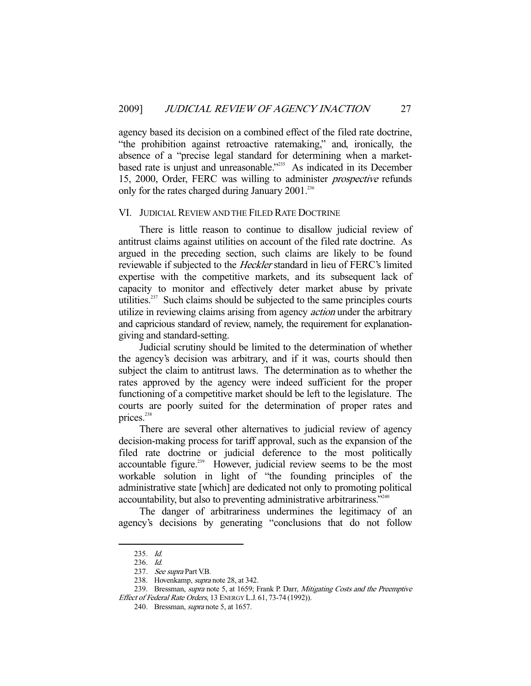agency based its decision on a combined effect of the filed rate doctrine, "the prohibition against retroactive ratemaking," and, ironically, the absence of a "precise legal standard for determining when a marketbased rate is unjust and unreasonable."<sup>235</sup> As indicated in its December 15, 2000, Order, FERC was willing to administer prospective refunds only for the rates charged during January  $2001$ <sup>236</sup>

#### VI. JUDICIAL REVIEW AND THE FILED RATE DOCTRINE

 There is little reason to continue to disallow judicial review of antitrust claims against utilities on account of the filed rate doctrine. As argued in the preceding section, such claims are likely to be found reviewable if subjected to the *Heckler* standard in lieu of FERC's limited expertise with the competitive markets, and its subsequent lack of capacity to monitor and effectively deter market abuse by private utilities. $237$  Such claims should be subjected to the same principles courts utilize in reviewing claims arising from agency *action* under the arbitrary and capricious standard of review, namely, the requirement for explanationgiving and standard-setting.

 Judicial scrutiny should be limited to the determination of whether the agency's decision was arbitrary, and if it was, courts should then subject the claim to antitrust laws. The determination as to whether the rates approved by the agency were indeed sufficient for the proper functioning of a competitive market should be left to the legislature. The courts are poorly suited for the determination of proper rates and prices.<sup>238</sup>

 There are several other alternatives to judicial review of agency decision-making process for tariff approval, such as the expansion of the filed rate doctrine or judicial deference to the most politically accountable figure.<sup>239</sup> However, judicial review seems to be the most workable solution in light of "the founding principles of the administrative state [which] are dedicated not only to promoting political accountability, but also to preventing administrative arbitrariness."240

 The danger of arbitrariness undermines the legitimacy of an agency's decisions by generating "conclusions that do not follow

 <sup>235.</sup> Id.

 <sup>236.</sup> Id.

<sup>237.</sup> See supra Part V.B.

<sup>238.</sup> Hovenkamp, *supra* note 28, at 342.

<sup>239.</sup> Bressman, *supra* note 5, at 1659; Frank P. Darr, *Mitigating Costs and the Preemptive* Effect of Federal Rate Orders, 13 ENERGY L.J. 61, 73-74 (1992)).

 <sup>240.</sup> Bressman, supra note 5, at 1657.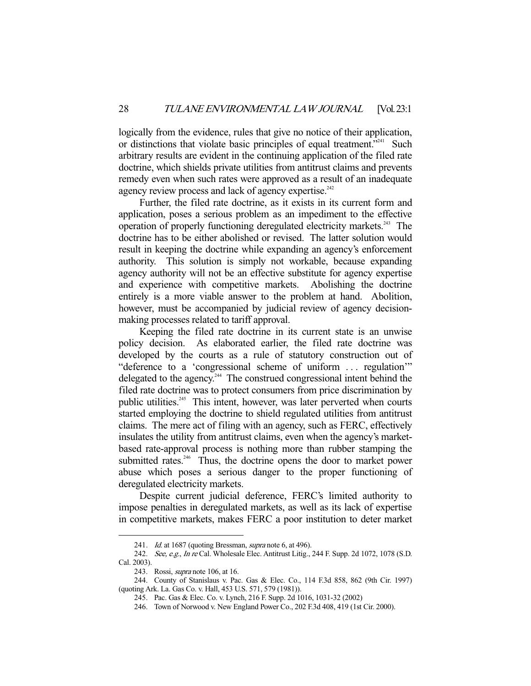logically from the evidence, rules that give no notice of their application, or distinctions that violate basic principles of equal treatment."<sup>241</sup> Such arbitrary results are evident in the continuing application of the filed rate doctrine, which shields private utilities from antitrust claims and prevents remedy even when such rates were approved as a result of an inadequate agency review process and lack of agency expertise.<sup>242</sup>

 Further, the filed rate doctrine, as it exists in its current form and application, poses a serious problem as an impediment to the effective operation of properly functioning deregulated electricity markets.243 The doctrine has to be either abolished or revised. The latter solution would result in keeping the doctrine while expanding an agency's enforcement authority. This solution is simply not workable, because expanding agency authority will not be an effective substitute for agency expertise and experience with competitive markets. Abolishing the doctrine entirely is a more viable answer to the problem at hand. Abolition, however, must be accompanied by judicial review of agency decisionmaking processes related to tariff approval.

 Keeping the filed rate doctrine in its current state is an unwise policy decision. As elaborated earlier, the filed rate doctrine was developed by the courts as a rule of statutory construction out of "deference to a 'congressional scheme of uniform ... regulation" delegated to the agency.<sup>244</sup> The construed congressional intent behind the filed rate doctrine was to protect consumers from price discrimination by public utilities.<sup>245</sup> This intent, however, was later perverted when courts started employing the doctrine to shield regulated utilities from antitrust claims. The mere act of filing with an agency, such as FERC, effectively insulates the utility from antitrust claims, even when the agency's marketbased rate-approval process is nothing more than rubber stamping the submitted rates.<sup>246</sup> Thus, the doctrine opens the door to market power abuse which poses a serious danger to the proper functioning of deregulated electricity markets.

 Despite current judicial deference, FERC's limited authority to impose penalties in deregulated markets, as well as its lack of expertise in competitive markets, makes FERC a poor institution to deter market

<sup>241.</sup> Id. at 1687 (quoting Bressman, *supra* note 6, at 496).

<sup>242.</sup> See, e.g., In re Cal. Wholesale Elec. Antitrust Litig., 244 F. Supp. 2d 1072, 1078 (S.D. Cal. 2003).

<sup>243.</sup> Rossi, *supra* note 106, at 16.

 <sup>244.</sup> County of Stanislaus v. Pac. Gas & Elec. Co., 114 F.3d 858, 862 (9th Cir. 1997) (quoting Ark. La. Gas Co. v. Hall, 453 U.S. 571, 579 (1981)).

 <sup>245.</sup> Pac. Gas & Elec. Co. v. Lynch, 216 F. Supp. 2d 1016, 1031-32 (2002)

 <sup>246.</sup> Town of Norwood v. New England Power Co., 202 F.3d 408, 419 (1st Cir. 2000).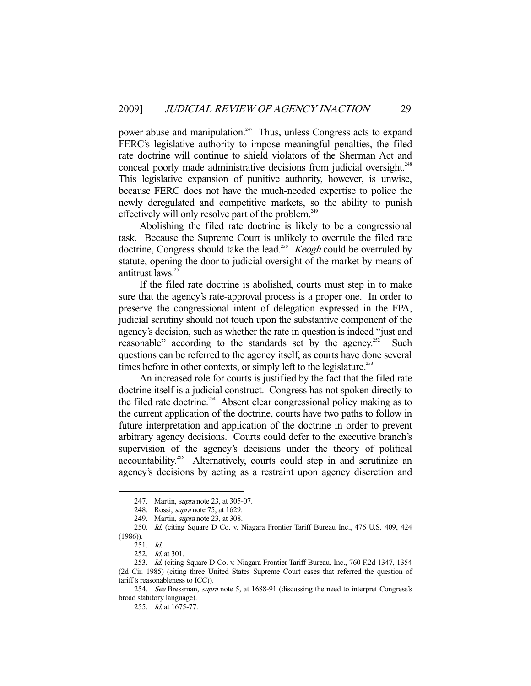power abuse and manipulation.<sup>247</sup> Thus, unless Congress acts to expand FERC's legislative authority to impose meaningful penalties, the filed rate doctrine will continue to shield violators of the Sherman Act and conceal poorly made administrative decisions from judicial oversight.<sup>248</sup> This legislative expansion of punitive authority, however, is unwise, because FERC does not have the much-needed expertise to police the newly deregulated and competitive markets, so the ability to punish effectively will only resolve part of the problem.<sup>249</sup>

 Abolishing the filed rate doctrine is likely to be a congressional task. Because the Supreme Court is unlikely to overrule the filed rate doctrine, Congress should take the lead.<sup>250</sup> *Keogh* could be overruled by statute, opening the door to judicial oversight of the market by means of antitrust  $\overline{l}$ aws<sup>251</sup>

 If the filed rate doctrine is abolished, courts must step in to make sure that the agency's rate-approval process is a proper one. In order to preserve the congressional intent of delegation expressed in the FPA, judicial scrutiny should not touch upon the substantive component of the agency's decision, such as whether the rate in question is indeed "just and reasonable" according to the standards set by the agency.<sup>252</sup> Such questions can be referred to the agency itself, as courts have done several times before in other contexts, or simply left to the legislature.<sup>253</sup>

 An increased role for courts is justified by the fact that the filed rate doctrine itself is a judicial construct. Congress has not spoken directly to the filed rate doctrine.<sup>254</sup> Absent clear congressional policy making as to the current application of the doctrine, courts have two paths to follow in future interpretation and application of the doctrine in order to prevent arbitrary agency decisions. Courts could defer to the executive branch's supervision of the agency's decisions under the theory of political accountability.<sup>255</sup> Alternatively, courts could step in and scrutinize an agency's decisions by acting as a restraint upon agency discretion and

<sup>247.</sup> Martin, *supra* note 23, at 305-07.

 <sup>248.</sup> Rossi, supra note 75, at 1629.

 <sup>249.</sup> Martin, supra note 23, at 308.

 <sup>250.</sup> Id. (citing Square D Co. v. Niagara Frontier Tariff Bureau Inc., 476 U.S. 409, 424  $(1986)$ ).

 <sup>251.</sup> Id.

<sup>252.</sup> *Id.* at 301.

 <sup>253.</sup> Id. (citing Square D Co. v. Niagara Frontier Tariff Bureau, Inc., 760 F.2d 1347, 1354 (2d Cir. 1985) (citing three United States Supreme Court cases that referred the question of tariff's reasonableness to ICC)).

<sup>254.</sup> See Bressman, supra note 5, at 1688-91 (discussing the need to interpret Congress's broad statutory language).

 <sup>255.</sup> Id. at 1675-77.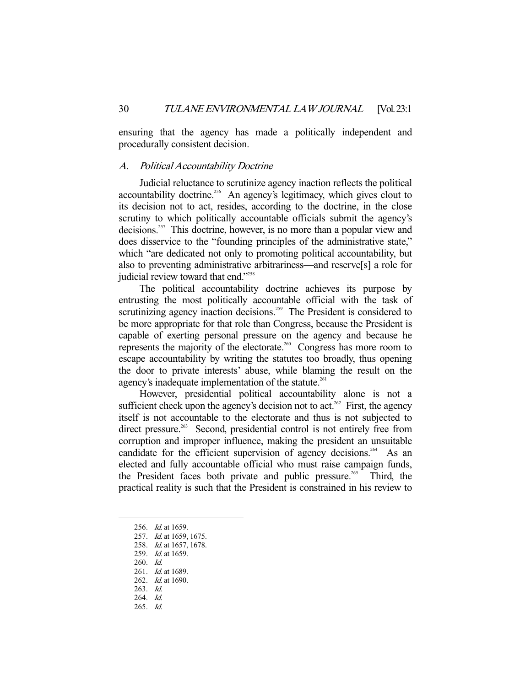ensuring that the agency has made a politically independent and procedurally consistent decision.

#### A. Political Accountability Doctrine

 Judicial reluctance to scrutinize agency inaction reflects the political accountability doctrine.<sup>256</sup> An agency's legitimacy, which gives clout to its decision not to act, resides, according to the doctrine, in the close scrutiny to which politically accountable officials submit the agency's decisions.<sup>257</sup> This doctrine, however, is no more than a popular view and does disservice to the "founding principles of the administrative state," which "are dedicated not only to promoting political accountability, but also to preventing administrative arbitrariness—and reserve[s] a role for judicial review toward that end."<sup>258</sup>

 The political accountability doctrine achieves its purpose by entrusting the most politically accountable official with the task of scrutinizing agency inaction decisions.<sup>259</sup> The President is considered to be more appropriate for that role than Congress, because the President is capable of exerting personal pressure on the agency and because he represents the majority of the electorate.<sup>260</sup> Congress has more room to escape accountability by writing the statutes too broadly, thus opening the door to private interests' abuse, while blaming the result on the agency's inadequate implementation of the statute.<sup>261</sup>

 However, presidential political accountability alone is not a sufficient check upon the agency's decision not to act.<sup>262</sup> First, the agency itself is not accountable to the electorate and thus is not subjected to direct pressure.<sup>263</sup> Second, presidential control is not entirely free from corruption and improper influence, making the president an unsuitable candidate for the efficient supervision of agency decisions.<sup>264</sup> As an elected and fully accountable official who must raise campaign funds, the President faces both private and public pressure.<sup>265</sup> Third, the practical reality is such that the President is constrained in his review to

- 261. *Id.* at 1689.
- 262. Id. at 1690.
- 263. Id. 264. Id.
- 265. Id.

<sup>256.</sup> *Id.* at 1659.

<sup>257.</sup> *Id.* at 1659, 1675.

 <sup>258.</sup> Id. at 1657, 1678.

<sup>259.</sup> *Id.* at 1659.

 <sup>260.</sup> Id.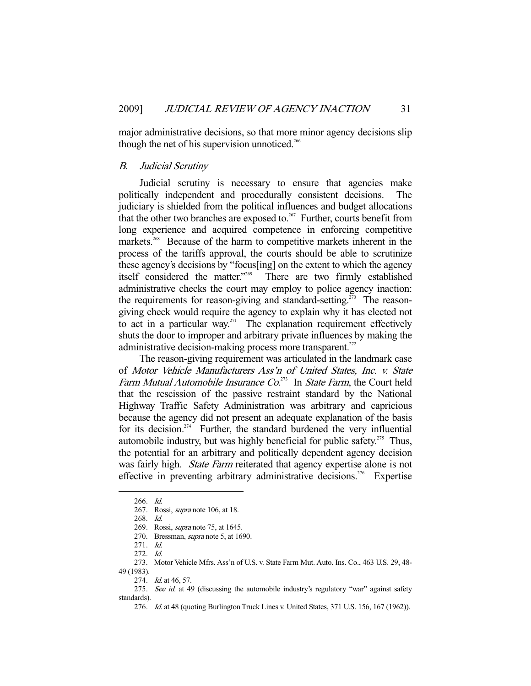major administrative decisions, so that more minor agency decisions slip though the net of his supervision unnoticed.<sup>266</sup>

#### B. Judicial Scrutiny

 Judicial scrutiny is necessary to ensure that agencies make politically independent and procedurally consistent decisions. The judiciary is shielded from the political influences and budget allocations that the other two branches are exposed to.<sup>267</sup> Further, courts benefit from long experience and acquired competence in enforcing competitive markets.<sup>268</sup> Because of the harm to competitive markets inherent in the process of the tariffs approval, the courts should be able to scrutinize these agency's decisions by "focus[ing] on the extent to which the agency itself considered the matter."269 There are two firmly established administrative checks the court may employ to police agency inaction: the requirements for reason-giving and standard-setting.<sup> $\bar{z}$ 70 The reason-</sup> giving check would require the agency to explain why it has elected not to act in a particular way.<sup>271</sup> The explanation requirement effectively shuts the door to improper and arbitrary private influences by making the administrative decision-making process more transparent.<sup>272</sup>

 The reason-giving requirement was articulated in the landmark case of Motor Vehicle Manufacturers Ass'n of United States, Inc. v. State Farm Mutual Automobile Insurance  $Co^{273}$  In State Farm, the Court held that the rescission of the passive restraint standard by the National Highway Traffic Safety Administration was arbitrary and capricious because the agency did not present an adequate explanation of the basis for its decision.<sup>274</sup> Further, the standard burdened the very influential automobile industry, but was highly beneficial for public safety.<sup>275</sup> Thus, the potential for an arbitrary and politically dependent agency decision was fairly high. *State Farm* reiterated that agency expertise alone is not effective in preventing arbitrary administrative decisions.<sup>276</sup> Expertise

 <sup>266.</sup> Id.

 <sup>267.</sup> Rossi, supra note 106, at 18.

 <sup>268.</sup> Id.

 <sup>269.</sup> Rossi, supra note 75, at 1645.

 <sup>270.</sup> Bressman, supra note 5, at 1690.

 <sup>271.</sup> Id.

 <sup>272.</sup> Id.

 <sup>273.</sup> Motor Vehicle Mfrs. Ass'n of U.S. v. State Farm Mut. Auto. Ins. Co., 463 U.S. 29, 48- 49 (1983).

<sup>274.</sup> *Id.* at 46, 57.

<sup>275.</sup> See id. at 49 (discussing the automobile industry's regulatory "war" against safety standards).

 <sup>276.</sup> Id. at 48 (quoting Burlington Truck Lines v. United States, 371 U.S. 156, 167 (1962)).